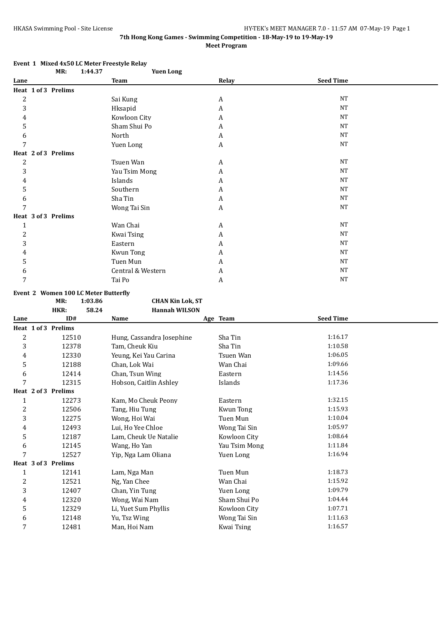|                         | MR:                 | 1:44.37                                         | <b>Yuen Long</b>          |               |                  |  |
|-------------------------|---------------------|-------------------------------------------------|---------------------------|---------------|------------------|--|
| Lane                    |                     |                                                 | Team                      | Relay         | <b>Seed Time</b> |  |
|                         | Heat 1 of 3 Prelims |                                                 |                           |               |                  |  |
| $\overline{c}$          |                     |                                                 | Sai Kung                  | A             | $_{\rm NT}$      |  |
| 3                       |                     |                                                 | Hksapid                   | A             | <b>NT</b>        |  |
| 4                       |                     |                                                 | Kowloon City              | A             | <b>NT</b>        |  |
| 5                       |                     |                                                 | Sham Shui Po              | A             | <b>NT</b>        |  |
| 6                       |                     |                                                 | North                     | A             | <b>NT</b>        |  |
| 7                       |                     |                                                 | Yuen Long                 | A             | <b>NT</b>        |  |
|                         | Heat 2 of 3 Prelims |                                                 |                           |               |                  |  |
| 2                       |                     |                                                 | Tsuen Wan                 | A             | NΤ               |  |
| 3                       |                     |                                                 | Yau Tsim Mong             | A             | <b>NT</b>        |  |
| 4                       |                     |                                                 | Islands                   | A             | NT               |  |
| 5                       |                     |                                                 | Southern                  | A             | <b>NT</b>        |  |
| 6                       |                     |                                                 | Sha Tin                   | A             | $_{\rm NT}$      |  |
| 7                       |                     |                                                 | Wong Tai Sin              | A             | <b>NT</b>        |  |
|                         | Heat 3 of 3 Prelims |                                                 |                           |               |                  |  |
| $\mathbf{1}$            |                     |                                                 | Wan Chai                  | A             | <b>NT</b>        |  |
| $\overline{c}$          |                     |                                                 | Kwai Tsing                | A             | $_{\rm NT}$      |  |
| 3                       |                     |                                                 | Eastern                   | A             | <b>NT</b>        |  |
| 4                       |                     |                                                 | <b>Kwun Tong</b>          | A             | <b>NT</b>        |  |
| 5                       |                     |                                                 | Tuen Mun                  | A             | NΤ               |  |
| 6                       |                     |                                                 | Central & Western         | A             | NT               |  |
| 7                       |                     |                                                 | Tai Po                    | A             | NT               |  |
|                         |                     |                                                 |                           |               |                  |  |
|                         | MR:                 | Event 2 Women 100 LC Meter Butterfly<br>1:03.86 | <b>CHAN Kin Lok, ST</b>   |               |                  |  |
|                         | HKR:                | 58.24                                           | <b>Hannah WILSON</b>      |               |                  |  |
| Lane                    | ID#                 |                                                 | Name                      | Age Team      | <b>Seed Time</b> |  |
|                         | Heat 1 of 3 Prelims |                                                 |                           |               |                  |  |
| 2                       | 12510               |                                                 | Hung, Cassandra Josephine | Sha Tin       | 1:16.17          |  |
| 3                       | 12378               |                                                 | Tam, Cheuk Kiu            | Sha Tin       | 1:10.58          |  |
| 4                       | 12330               |                                                 | Yeung, Kei Yau Carina     | Tsuen Wan     | 1:06.05          |  |
| 5                       | 12188               |                                                 | Chan, Lok Wai             | Wan Chai      | 1:09.66          |  |
| 6                       | 12414               |                                                 | Chan, Tsun Wing           | Eastern       | 1:14.56          |  |
| 7                       | 12315               |                                                 | Hobson, Caitlin Ashley    | Islands       | 1:17.36          |  |
|                         | Heat 2 of 3 Prelims |                                                 |                           |               |                  |  |
| 1                       | 12273               |                                                 | Kam, Mo Cheuk Peony       | Eastern       | 1:32.15          |  |
| $\boldsymbol{2}$        | 12506               |                                                 | Tang, Hiu Tung            | Kwun Tong     | 1:15.93          |  |
| 3                       | 12275               |                                                 | Wong, Hoi Wai             | Tuen Mun      | 1:10.04          |  |
| 4                       | 12493               |                                                 | Lui, Ho Yee Chloe         | Wong Tai Sin  | 1:05.97          |  |
| 5                       | 12187               |                                                 | Lam, Cheuk Ue Natalie     | Kowloon City  | 1:08.64          |  |
| 6                       | 12145               |                                                 | Wang, Ho Yan              | Yau Tsim Mong | 1:11.84          |  |
| 7                       | 12527               |                                                 | Yip, Nga Lam Oliana       | Yuen Long     | 1:16.94          |  |
|                         | Heat 3 of 3 Prelims |                                                 |                           |               |                  |  |
| $\mathbf{1}$            | 12141               |                                                 | Lam, Nga Man              | Tuen Mun      | 1:18.73          |  |
| $\overline{c}$          | 12521               |                                                 | Ng, Yan Chee              | Wan Chai      | 1:15.92          |  |
| 3                       | 12407               |                                                 | Chan, Yin Tung            | Yuen Long     | 1:09.79          |  |
| $\overline{\mathbf{4}}$ | 12320               |                                                 | Wong, Wai Nam             | Sham Shui Po  | 1:04.44          |  |
| 5                       | 12329               |                                                 | Li, Yuet Sum Phyllis      | Kowloon City  | 1:07.71          |  |
|                         |                     |                                                 |                           |               |                  |  |

 12148 Yu, Tsz Wing Wong Tai Sin 1:11.63 7 12481 Man, Hoi Nam Kwai Tsing 1:16.57

# **Event 1 Mixed 4x50 LC Meter Freestyle Relay**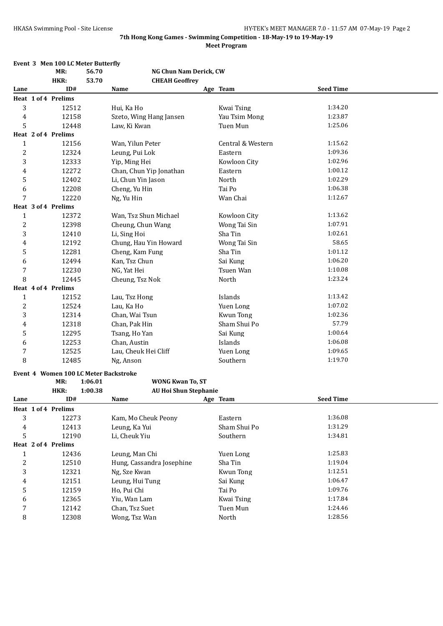|                  | Event 3 Men 100 LC Meter Butterfly    |         |                              |                   |                  |         |  |
|------------------|---------------------------------------|---------|------------------------------|-------------------|------------------|---------|--|
|                  | MR:                                   | 56.70   | NG Chun Nam Derick, CW       |                   |                  |         |  |
|                  | HKR:                                  | 53.70   | <b>CHEAH Geoffrey</b>        |                   |                  |         |  |
| Lane             | ID#                                   |         | Name                         | Age Team          | <b>Seed Time</b> |         |  |
|                  | Heat 1 of 4 Prelims                   |         |                              |                   |                  |         |  |
| 3                | 12512                                 |         | Hui, Ka Ho                   | <b>Kwai Tsing</b> |                  | 1:34.20 |  |
| 4                | 12158                                 |         | Szeto, Wing Hang Jansen      | Yau Tsim Mong     |                  | 1:23.87 |  |
| 5                | 12448                                 |         | Law, Ki Kwan                 | Tuen Mun          |                  | 1:25.06 |  |
|                  | Heat 2 of 4 Prelims                   |         |                              |                   |                  |         |  |
| $\mathbf{1}$     | 12156                                 |         | Wan, Yilun Peter             | Central & Western |                  | 1:15.62 |  |
| $\overline{c}$   | 12324                                 |         | Leung, Pui Lok               | Eastern           |                  | 1:09.36 |  |
| 3                | 12333                                 |         | Yip, Ming Hei                | Kowloon City      |                  | 1:02.96 |  |
| 4                | 12272                                 |         | Chan, Chun Yip Jonathan      | Eastern           |                  | 1:00.12 |  |
| 5                | 12402                                 |         | Li, Chun Yin Jason           | North             |                  | 1:02.29 |  |
| 6                | 12208                                 |         | Cheng, Yu Hin                | Tai Po            |                  | 1:06.38 |  |
| 7                | 12220                                 |         | Ng, Yu Hin                   | Wan Chai          |                  | 1:12.67 |  |
|                  | Heat 3 of 4 Prelims                   |         |                              |                   |                  |         |  |
| $\mathbf{1}$     | 12372                                 |         | Wan, Tsz Shun Michael        | Kowloon City      |                  | 1:13.62 |  |
| $\boldsymbol{2}$ | 12398                                 |         | Cheung, Chun Wang            | Wong Tai Sin      |                  | 1:07.91 |  |
| 3                | 12410                                 |         | Li, Sing Hoi                 | Sha Tin           |                  | 1:02.61 |  |
| 4                | 12192                                 |         | Chung, Hau Yin Howard        | Wong Tai Sin      |                  | 58.65   |  |
| 5                | 12281                                 |         | Cheng, Kam Fung              | Sha Tin           |                  | 1:01.12 |  |
| 6                | 12494                                 |         | Kan, Tsz Chun                | Sai Kung          |                  | 1:06.20 |  |
| 7                | 12230                                 |         | NG, Yat Hei                  | Tsuen Wan         |                  | 1:10.08 |  |
| 8                | 12445                                 |         | Cheung, Tsz Nok              | North             |                  | 1:23.24 |  |
|                  | Heat 4 of 4 Prelims                   |         |                              |                   |                  |         |  |
| $\mathbf{1}$     | 12152                                 |         | Lau, Tsz Hong                | Islands           |                  | 1:13.42 |  |
| $\overline{c}$   | 12524                                 |         | Lau, Ka Ho                   | Yuen Long         |                  | 1:07.02 |  |
| 3                | 12314                                 |         | Chan, Wai Tsun               | <b>Kwun Tong</b>  |                  | 1:02.36 |  |
| 4                | 12318                                 |         | Chan, Pak Hin                | Sham Shui Po      |                  | 57.79   |  |
| 5                | 12295                                 |         | Tsang, Ho Yan                | Sai Kung          |                  | 1:00.64 |  |
| 6                | 12253                                 |         | Chan, Austin                 | Islands           |                  | 1:06.08 |  |
| 7                | 12525                                 |         | Lau, Cheuk Hei Cliff         | Yuen Long         |                  | 1:09.65 |  |
| 8                | 12485                                 |         | Ng, Anson                    | Southern          |                  | 1:19.70 |  |
|                  | Event 4 Women 100 LC Meter Backstroke |         |                              |                   |                  |         |  |
|                  | MR:                                   | 1:06.01 | <b>WONG Kwan To, ST</b>      |                   |                  |         |  |
|                  | HKR:                                  | 1:00.38 | <b>AU Hoi Shun Stephanie</b> |                   |                  |         |  |
| Lane             | ID#                                   |         | Name                         | Age Team          | <b>Seed Time</b> |         |  |
|                  | Heat 1 of 4 Prelims                   |         |                              |                   |                  |         |  |
| 3                | 12273                                 |         | Kam, Mo Cheuk Peony          | Eastern           |                  | 1:36.08 |  |
| 4                | 12413                                 |         | Leung, Ka Yui                | Sham Shui Po      |                  | 1:31.29 |  |
| 5                | 12190                                 |         | Li, Cheuk Yiu                | Southern          |                  | 1:34.81 |  |
|                  | Heat 2 of 4 Prelims                   |         |                              |                   |                  |         |  |
| $\mathbf{1}$     | 12436                                 |         | Leung, Man Chi               | Yuen Long         |                  | 1:25.83 |  |
| $\overline{2}$   | 12510                                 |         | Hung, Cassandra Josephine    | Sha Tin           |                  | 1:19.04 |  |
| 3                | 12321                                 |         | Ng, Sze Kwan                 | <b>Kwun Tong</b>  |                  | 1:12.51 |  |
| 4                | 12151                                 |         | Leung, Hui Tung              | Sai Kung          |                  | 1:06.47 |  |
| 5                | 12159                                 |         | Ho, Pui Chi                  | Tai Po            |                  | 1:09.76 |  |
| 6                | 12365                                 |         | Yiu, Wan Lam                 | <b>Kwai Tsing</b> |                  | 1:17.84 |  |
| 7                | 12142                                 |         | Chan, Tsz Suet               | Tuen Mun          |                  | 1:24.46 |  |
| 8                | 12308                                 |         | Wong, Tsz Wan                | North             |                  | 1:28.56 |  |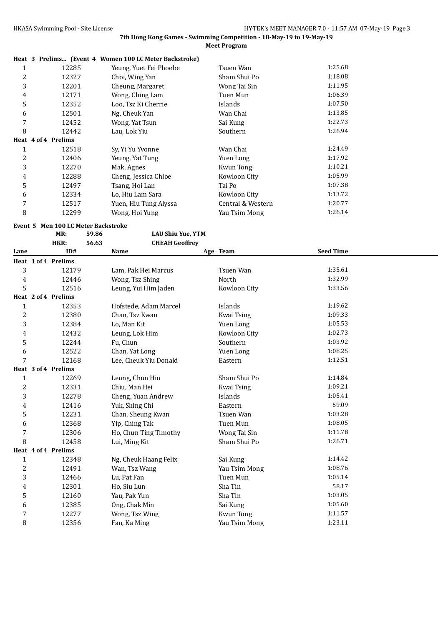|   |                     | Heat 3 Prelims (Event 4 Women 100 LC Meter Backstroke) |                   |         |
|---|---------------------|--------------------------------------------------------|-------------------|---------|
| 1 | 12285               | Yeung, Yuet Fei Phoebe                                 | Tsuen Wan         | 1:25.68 |
| 2 | 12327               | Choi, Wing Yan                                         | Sham Shui Po      | 1:18.08 |
| 3 | 12201               | Cheung, Margaret                                       | Wong Tai Sin      | 1:11.95 |
| 4 | 12171               | Wong, Ching Lam                                        | Tuen Mun          | 1:06.39 |
| 5 | 12352               | Loo, Tsz Ki Cherrie                                    | Islands           | 1:07.50 |
| 6 | 12501               | Ng, Cheuk Yan                                          | Wan Chai          | 1:13.85 |
| 7 | 12452               | Wong, Yat Tsun                                         | Sai Kung          | 1:22.73 |
| 8 | 12442               | Lau, Lok Yiu                                           | Southern          | 1:26.94 |
|   | Heat 4 of 4 Prelims |                                                        |                   |         |
| 1 | 12518               | Sv. Yi Yu Yvonne                                       | Wan Chai          | 1:24.49 |
| 2 | 12406               | Yeung, Yat Tung                                        | Yuen Long         | 1:17.92 |
| 3 | 12270               | Mak, Agnes                                             | Kwun Tong         | 1:10.21 |
| 4 | 12288               | Cheng, Jessica Chloe                                   | Kowloon City      | 1:05.99 |
| 5 | 12497               | Tsang, Hoi Lan                                         | Tai Po            | 1:07.38 |
| 6 | 12334               | Lo, Hiu Lam Sara                                       | Kowloon City      | 1:13.72 |
| 7 | 12517               | Yuen, Hiu Tung Alyssa                                  | Central & Western | 1:20.77 |
| 8 | 12299               | Wong, Hoi Yung                                         | Yau Tsim Mong     | 1:26.14 |

**Event 5 Men 100 LC Meter Backstroke**

**MR: 59.86 LAU Shiu Yue, YTM**

|                | HKR:                | 56.63 | <b>CHEAH Geoffrey</b> |                  |                  |  |
|----------------|---------------------|-------|-----------------------|------------------|------------------|--|
| Lane           | ID#                 |       | Name                  | Age Team         | <b>Seed Time</b> |  |
|                | Heat 1 of 4 Prelims |       |                       |                  |                  |  |
| 3              | 12179               |       | Lam, Pak Hei Marcus   | Tsuen Wan        | 1:35.61          |  |
| 4              | 12446               |       | Wong, Tsz Shing       | North            | 1:32.99          |  |
| 5              | 12516               |       | Leung, Yui Him Jaden  | Kowloon City     | 1:33.56          |  |
|                | Heat 2 of 4 Prelims |       |                       |                  |                  |  |
| $\mathbf{1}$   | 12353               |       | Hofstede, Adam Marcel | Islands          | 1:19.62          |  |
| $\overline{c}$ | 12380               |       | Chan, Tsz Kwan        | Kwai Tsing       | 1:09.33          |  |
| 3              | 12384               |       | Lo, Man Kit           | Yuen Long        | 1:05.53          |  |
| 4              | 12432               |       | Leung, Lok Him        | Kowloon City     | 1:02.73          |  |
| 5              | 12244               |       | Fu, Chun              | Southern         | 1:03.92          |  |
| 6              | 12522               |       | Chan, Yat Long        | Yuen Long        | 1:08.25          |  |
| 7              | 12168               |       | Lee, Cheuk Yiu Donald | Eastern          | 1:12.51          |  |
|                | Heat 3 of 4 Prelims |       |                       |                  |                  |  |
| $\mathbf{1}$   | 12269               |       | Leung, Chun Hin       | Sham Shui Po     | 1:14.84          |  |
| $\overline{c}$ | 12331               |       | Chiu, Man Hei         | Kwai Tsing       | 1:09.21          |  |
| 3              | 12278               |       | Cheng, Yuan Andrew    | Islands          | 1:05.41          |  |
| 4              | 12416               |       | Yuk, Shing Chi        | Eastern          | 59.09            |  |
| 5              | 12231               |       | Chan, Sheung Kwan     | <b>Tsuen Wan</b> | 1:03.28          |  |
| 6              | 12368               |       | Yip, Ching Tak        | Tuen Mun         | 1:08.05          |  |
| $\overline{7}$ | 12306               |       | Ho, Chun Ting Timothy | Wong Tai Sin     | 1:11.78          |  |
| 8              | 12458               |       | Lui, Ming Kit         | Sham Shui Po     | 1:26.71          |  |
|                | Heat 4 of 4 Prelims |       |                       |                  |                  |  |
| $\mathbf{1}$   | 12348               |       | Ng, Cheuk Haang Felix | Sai Kung         | 1:14.42          |  |
| 2              | 12491               |       | Wan, Tsz Wang         | Yau Tsim Mong    | 1:08.76          |  |
| 3              | 12466               |       | Lu, Pat Fan           | Tuen Mun         | 1:05.14          |  |
| 4              | 12301               |       | Ho, Siu Lun           | Sha Tin          | 58.17            |  |
| $\mathsf S$    | 12160               |       | Yau, Pak Yun          | Sha Tin          | 1:03.05          |  |
| 6              | 12385               |       | Ong, Chak Min         | Sai Kung         | 1:05.60          |  |
| 7              | 12277               |       | Wong, Tsz Wing        | <b>Kwun Tong</b> | 1:11.57          |  |
| 8              | 12356               |       | Fan, Ka Ming          | Yau Tsim Mong    | 1:23.11          |  |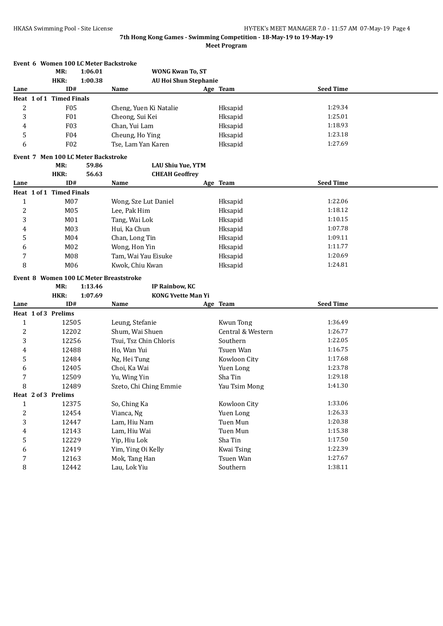|                  | Event 6 Women 100 LC Meter Backstroke   |                          |         |                              |  |                   |                  |  |  |
|------------------|-----------------------------------------|--------------------------|---------|------------------------------|--|-------------------|------------------|--|--|
|                  |                                         | MR:                      | 1:06.01 | <b>WONG Kwan To, ST</b>      |  |                   |                  |  |  |
|                  |                                         | HKR:                     | 1:00.38 | <b>AU Hoi Shun Stephanie</b> |  |                   |                  |  |  |
| Lane             |                                         | ID#                      |         | Name                         |  | Age Team          | <b>Seed Time</b> |  |  |
|                  |                                         | Heat 1 of 1 Timed Finals |         |                              |  |                   |                  |  |  |
| $\overline{c}$   |                                         | F <sub>05</sub>          |         | Cheng, Yuen Ki Natalie       |  | Hksapid           | 1:29.34          |  |  |
| 3                |                                         | F <sub>01</sub>          |         | Cheong, Sui Kei              |  | Hksapid           | 1:25.01          |  |  |
| 4                |                                         | F03                      |         | Chan, Yui Lam                |  | Hksapid           | 1:18.93          |  |  |
| 5                |                                         | F04                      |         | Cheung, Ho Ying              |  | Hksapid           | 1:23.18          |  |  |
| 6                |                                         | F <sub>0</sub> 2         |         | Tse, Lam Yan Karen           |  | Hksapid           | 1:27.69          |  |  |
|                  | Event 7 Men 100 LC Meter Backstroke     |                          |         |                              |  |                   |                  |  |  |
|                  |                                         | MR:                      | 59.86   | <b>LAU Shiu Yue, YTM</b>     |  |                   |                  |  |  |
|                  |                                         | HKR:                     | 56.63   | <b>CHEAH Geoffrey</b>        |  |                   |                  |  |  |
| Lane             |                                         | ID#                      |         | Name                         |  | Age Team          | <b>Seed Time</b> |  |  |
|                  |                                         | Heat 1 of 1 Timed Finals |         |                              |  |                   |                  |  |  |
| $\mathbf{1}$     |                                         | M07                      |         | Wong, Sze Lut Daniel         |  | Hksapid           | 1:22.06          |  |  |
| $\boldsymbol{2}$ |                                         | M05                      |         | Lee, Pak Him                 |  | Hksapid           | 1:18.12          |  |  |
| 3                |                                         | M01                      |         | Tang, Wai Lok                |  | Hksapid           | 1:10.15          |  |  |
| 4                |                                         | M03                      |         | Hui, Ka Chun                 |  | Hksapid           | 1:07.78          |  |  |
| 5                |                                         | M <sub>04</sub>          |         | Chan, Long Tin               |  | Hksapid           | 1:09.11          |  |  |
| 6                |                                         | M <sub>02</sub>          |         | Wong, Hon Yin                |  | Hksapid           | 1:11.77          |  |  |
| 7                |                                         | M08                      |         | Tam, Wai Yau Eisuke          |  | Hksapid           | 1:20.69          |  |  |
| 8                |                                         | M06                      |         | Kwok, Chiu Kwan              |  | Hksapid           | 1:24.81          |  |  |
|                  | Event 8 Women 100 LC Meter Breaststroke |                          |         |                              |  |                   |                  |  |  |
|                  |                                         |                          |         |                              |  |                   |                  |  |  |
|                  |                                         | MR:                      | 1:13.46 | IP Rainbow, KC               |  |                   |                  |  |  |
|                  |                                         | HKR:                     | 1:07.69 | <b>KONG Yvette Man Yi</b>    |  |                   |                  |  |  |
| Lane             |                                         | ID#                      |         | Name                         |  | Age Team          | <b>Seed Time</b> |  |  |
|                  |                                         | Heat 1 of 3 Prelims      |         |                              |  |                   |                  |  |  |
| $\mathbf{1}$     |                                         | 12505                    |         | Leung, Stefanie              |  | <b>Kwun Tong</b>  | 1:36.49          |  |  |
| 2                |                                         | 12202                    |         | Shum, Wai Shuen              |  | Central & Western | 1:26.77          |  |  |
| 3                |                                         | 12256                    |         | Tsui, Tsz Chin Chloris       |  | Southern          | 1:22.05          |  |  |
| 4                |                                         | 12488                    |         | Ho, Wan Yui                  |  | Tsuen Wan         | 1:16.75          |  |  |
| 5                |                                         | 12484                    |         | Ng, Hei Tung                 |  | Kowloon City      | 1:17.68          |  |  |
| 6                |                                         | 12405                    |         | Choi, Ka Wai                 |  | Yuen Long         | 1:23.78          |  |  |
| 7                |                                         | 12509                    |         | Yu, Wing Yin                 |  | Sha Tin           | 1:29.18          |  |  |
| 8                |                                         | 12489                    |         | Szeto, Chi Ching Emmie       |  | Yau Tsim Mong     | 1:41.30          |  |  |
|                  |                                         | Heat 2 of 3 Prelims      |         |                              |  |                   |                  |  |  |
| $\mathbf{1}$     |                                         | 12375                    |         | So, Ching Ka                 |  | Kowloon City      | 1:33.06          |  |  |
| $\overline{c}$   |                                         | 12454                    |         | Vianca, Ng                   |  | Yuen Long         | 1:26.33          |  |  |
| 3                |                                         | 12447                    |         | Lam, Hiu Nam                 |  | Tuen Mun          | 1:20.38          |  |  |
| 4                |                                         | 12143                    |         | Lam, Hiu Wai                 |  | Tuen Mun          | 1:15.38          |  |  |
| 5                |                                         | 12229                    |         | Yip, Hiu Lok                 |  | Sha Tin           | 1:17.50          |  |  |
| 6                |                                         | 12419                    |         | Yim, Ying Oi Kelly           |  | Kwai Tsing        | 1:22.39          |  |  |
| 7                |                                         | 12163                    |         | Mok, Tang Han                |  | Tsuen Wan         | 1:27.67          |  |  |
| 8                |                                         | 12442                    |         | Lau, Lok Yiu                 |  | Southern          | 1:38.11          |  |  |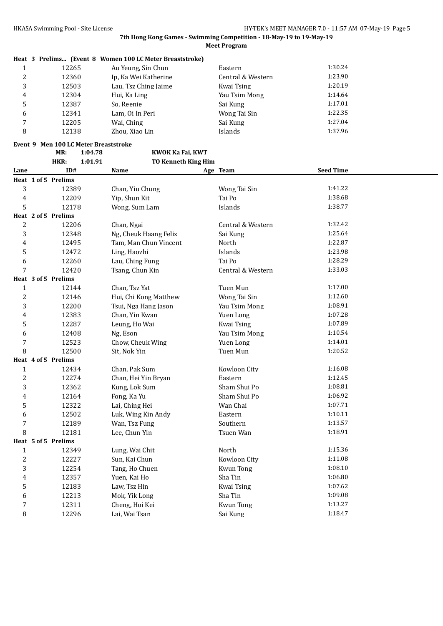|  |  | Heat 3 Prelims (Event 8 Women 100 LC Meter Breaststroke) |
|--|--|----------------------------------------------------------|

|   | 12265 | Au Yeung, Sin Chun   | Eastern           | 1:30.24 |
|---|-------|----------------------|-------------------|---------|
| 2 | 12360 | Ip, Ka Wei Katherine | Central & Western | 1:23.90 |
| 3 | 12503 | Lau, Tsz Ching Jaime | Kwai Tsing        | 1:20.19 |
| 4 | 12304 | Hui, Ka Ling         | Yau Tsim Mong     | 1:14.64 |
| 5 | 12387 | So, Reenie           | Sai Kung          | 1:17.01 |
| 6 | 12341 | Lam, Oi In Peri      | Wong Tai Sin      | 1:22.35 |
| 7 | 12205 | Wai, Ching           | Sai Kung          | 1:27.04 |
| 8 | 12138 | Zhou, Xiao Lin       | Islands           | 1:37.96 |
|   |       |                      |                   |         |

#### **Event 9 Men 100 LC Meter Breaststroke**

|                         | MR:                 | 1:04.78 | KWOK Ka Fai, KWT           |                   |                  |  |
|-------------------------|---------------------|---------|----------------------------|-------------------|------------------|--|
|                         | HKR:                | 1:01.91 | <b>TO Kenneth King Him</b> |                   |                  |  |
| Lane                    | ID#                 |         | Name                       | Age Team          | <b>Seed Time</b> |  |
|                         | Heat 1 of 5 Prelims |         |                            |                   |                  |  |
| 3                       | 12389               |         | Chan, Yiu Chung            | Wong Tai Sin      | 1:41.22          |  |
| $\pmb{4}$               | 12209               |         | Yip, Shun Kit              | Tai Po            | 1:38.68          |  |
| 5                       | 12178               |         | Wong, Sum Lam              | Islands           | 1:38.77          |  |
|                         | Heat 2 of 5 Prelims |         |                            |                   |                  |  |
| 2                       | 12206               |         | Chan, Ngai                 | Central & Western | 1:32.42          |  |
| 3                       | 12348               |         | Ng, Cheuk Haang Felix      | Sai Kung          | 1:25.64          |  |
| $\overline{4}$          | 12495               |         | Tam, Man Chun Vincent      | North             | 1:22.87          |  |
| 5                       | 12472               |         | Ling, Haozhi               | Islands           | 1:23.98          |  |
| 6                       | 12260               |         | Lau, Ching Fung            | Tai Po            | 1:28.29          |  |
| 7                       | 12420               |         | Tsang, Chun Kin            | Central & Western | 1:33.03          |  |
|                         | Heat 3 of 5 Prelims |         |                            |                   |                  |  |
| $\mathbf{1}$            | 12144               |         | Chan, Tsz Yat              | Tuen Mun          | 1:17.00          |  |
| $\sqrt{2}$              | 12146               |         | Hui, Chi Kong Matthew      | Wong Tai Sin      | 1:12.60          |  |
| 3                       | 12200               |         | Tsui, Nga Hang Jason       | Yau Tsim Mong     | 1:08.91          |  |
| $\overline{\mathbf{4}}$ | 12383               |         | Chan, Yin Kwan             | Yuen Long         | 1:07.28          |  |
| 5                       | 12287               |         | Leung, Ho Wai              | Kwai Tsing        | 1:07.89          |  |
| 6                       | 12408               |         | Ng, Eson                   | Yau Tsim Mong     | 1:10.54          |  |
| 7                       | 12523               |         | Chow, Cheuk Wing           | Yuen Long         | 1:14.01          |  |
| 8                       | 12500               |         | Sit, Nok Yin               | Tuen Mun          | 1:20.52          |  |
|                         | Heat 4 of 5 Prelims |         |                            |                   |                  |  |
| $\mathbf{1}$            | 12434               |         | Chan, Pak Sum              | Kowloon City      | 1:16.08          |  |
| $\overline{c}$          | 12274               |         | Chan, Hei Yin Bryan        | Eastern           | 1:12.45          |  |
| 3                       | 12362               |         | Kung, Lok Sum              | Sham Shui Po      | 1:08.81          |  |
| $\overline{4}$          | 12164               |         | Fong, Ka Yu                | Sham Shui Po      | 1:06.92          |  |
| 5                       | 12322               |         | Lai, Ching Hei             | Wan Chai          | 1:07.71          |  |
| 6                       | 12502               |         | Luk, Wing Kin Andy         | Eastern           | 1:10.11          |  |
| $\boldsymbol{7}$        | 12189               |         | Wan, Tsz Fung              | Southern          | 1:13.57          |  |
| 8                       | 12181               |         | Lee, Chun Yin              | Tsuen Wan         | 1:18.91          |  |
|                         | Heat 5 of 5 Prelims |         |                            |                   |                  |  |
| $\mathbf{1}$            | 12349               |         | Lung, Wai Chit             | North             | 1:15.36          |  |
| $\overline{c}$          | 12227               |         | Sun, Kai Chun              | Kowloon City      | 1:11.08          |  |
| 3                       | 12254               |         | Tang, Ho Chuen             | Kwun Tong         | 1:08.10          |  |
| $\overline{4}$          | 12357               |         | Yuen, Kai Ho               | Sha Tin           | 1:06.80          |  |
| 5                       | 12183               |         | Law, Tsz Hin               | Kwai Tsing        | 1:07.62          |  |
| 6                       | 12213               |         | Mok, Yik Long              | Sha Tin           | 1:09.08          |  |
| 7                       | 12311               |         | Cheng, Hoi Kei             | <b>Kwun Tong</b>  | 1:13.27          |  |
| 8                       | 12296               |         | Lai, Wai Tsan              | Sai Kung          | 1:18.47          |  |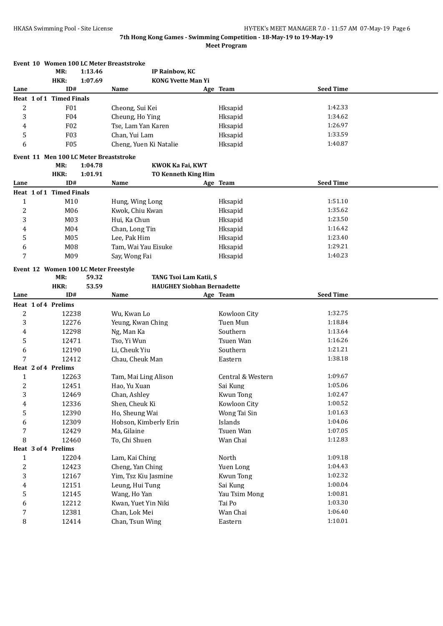# **Event 10 Women 100 LC Meter Breaststroke**

|      | MR:<br>1:13.46           | IP Rainbow, KC            |          |                  |  |
|------|--------------------------|---------------------------|----------|------------------|--|
|      | HKR:<br>1:07.69          | <b>KONG Yvette Man Yi</b> |          |                  |  |
| Lane | ID#                      | Name                      | Age Team | <b>Seed Time</b> |  |
|      | Heat 1 of 1 Timed Finals |                           |          |                  |  |
| ∠    | F01                      | Cheong, Sui Kei           | Hksapid  | 1:42.33          |  |
| 3    | F04                      | Cheung, Ho Ying           | Hksapid  | 1:34.62          |  |
| 4    | F <sub>02</sub>          | Tse, Lam Yan Karen        | Hksapid  | 1:26.97          |  |
|      | F <sub>0</sub> 3         | Chan, Yui Lam             | Hksapid  | 1:33.59          |  |
| 6    | <b>F05</b>               | Cheng, Yuen Ki Natalie    | Hksapid  | 1:40.87          |  |

### **Event 11 Men 100 LC Meter Breaststroke**

| MR:  | 1:04.78 | KWOK Ka Fai, KWT           |
|------|---------|----------------------------|
| uvd. | 1.01.01 | <b>TO Konnoth King Him</b> |

|      | HKK:                     |                 | 1:01.91 |                     | TO Kenneth King Him |          |                  |
|------|--------------------------|-----------------|---------|---------------------|---------------------|----------|------------------|
| Lane |                          | ID#             |         | <b>Name</b>         |                     | Age Team | <b>Seed Time</b> |
|      | Heat 1 of 1 Timed Finals |                 |         |                     |                     |          |                  |
|      |                          | M <sub>10</sub> |         | Hung, Wing Long     |                     | Hksapid  | 1:51.10          |
| ົ    |                          | M06             |         | Kwok, Chiu Kwan     |                     | Hksapid  | 1:35.62          |
| 3    |                          | M <sub>03</sub> |         | Hui, Ka Chun        |                     | Hksapid  | 1:23.50          |
| 4    |                          | M <sub>04</sub> |         | Chan, Long Tin      |                     | Hksapid  | 1:16.42          |
|      |                          | M05             |         | Lee, Pak Him        |                     | Hksapid  | 1:23.40          |
| 6    |                          | M08             |         | Tam. Wai Yau Eisuke |                     | Hksapid  | 1:29.21          |
|      |                          | M <sub>09</sub> |         | Say, Wong Fai       |                     | Hksapid  | 1:40.23          |

# **Event 12 Women 100 LC Meter Freestyle**

# **MR: 59.32 TANG Tsoi Lam Katii, S**

|                | HKR:                | 53.59 | <b>HAUGHEY Siobhan Bernadette</b> |                   |                  |  |
|----------------|---------------------|-------|-----------------------------------|-------------------|------------------|--|
| Lane           | ID#                 |       | Name                              | Age Team          | <b>Seed Time</b> |  |
|                | Heat 1 of 4 Prelims |       |                                   |                   |                  |  |
| 2              | 12238               |       | Wu, Kwan Lo                       | Kowloon City      | 1:32.75          |  |
| 3              | 12276               |       | Yeung, Kwan Ching                 | Tuen Mun          | 1:18.84          |  |
| 4              | 12298               |       | Ng, Man Ka                        | Southern          | 1:13.64          |  |
| 5              | 12471               |       | Tso, Yi Wun                       | Tsuen Wan         | 1:16.26          |  |
| 6              | 12190               |       | Li, Cheuk Yiu                     | Southern          | 1:21.21          |  |
| 7              | 12412               |       | Chau, Cheuk Man                   | Eastern           | 1:38.18          |  |
|                | Heat 2 of 4 Prelims |       |                                   |                   |                  |  |
| 1              | 12263               |       | Tam, Mai Ling Alison              | Central & Western | 1:09.67          |  |
| 2              | 12451               |       | Hao, Yu Xuan                      | Sai Kung          | 1:05.06          |  |
| 3              | 12469               |       | Chan, Ashley                      | Kwun Tong         | 1:02.47          |  |
| 4              | 12336               |       | Shen, Cheuk Ki                    | Kowloon City      | 1:00.52          |  |
| 5              | 12390               |       | Ho, Sheung Wai                    | Wong Tai Sin      | 1:01.63          |  |
| 6              | 12309               |       | Hobson, Kimberly Erin             | Islands           | 1:04.06          |  |
| 7              | 12429               |       | Ma, Gilaine                       | Tsuen Wan         | 1:07.05          |  |
| 8              | 12460               |       | To, Chi Shuen                     | Wan Chai          | 1:12.83          |  |
|                | Heat 3 of 4 Prelims |       |                                   |                   |                  |  |
| 1              | 12204               |       | Lam, Kai Ching                    | North             | 1:09.18          |  |
| $\overline{c}$ | 12423               |       | Cheng, Yan Ching                  | Yuen Long         | 1:04.43          |  |
| 3              | 12167               |       | Yim, Tsz Kiu Jasmine              | Kwun Tong         | 1:02.32          |  |
| 4              | 12151               |       | Leung, Hui Tung                   | Sai Kung          | 1:00.04          |  |
| 5              | 12145               |       | Wang, Ho Yan                      | Yau Tsim Mong     | 1:00.81          |  |
| 6              | 12212               |       | Kwan, Yuet Yin Niki               | Tai Po            | 1:03.30          |  |
| 7              | 12381               |       | Chan, Lok Mei                     | Wan Chai          | 1:06.40          |  |
| 8              | 12414               |       | Chan, Tsun Wing                   | Eastern           | 1:10.01          |  |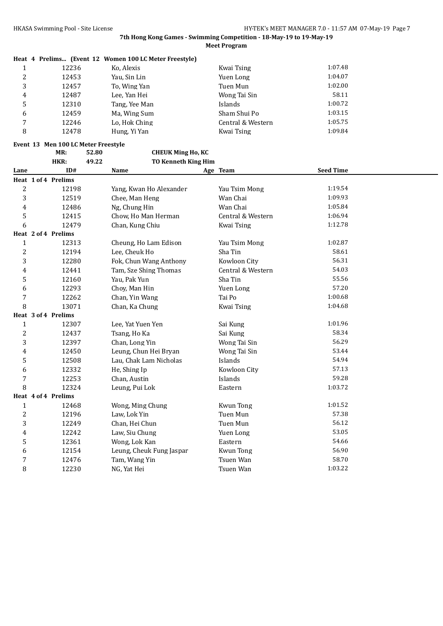|   |       | Heat 4 Prelims (Event 12 Women 100 LC Meter Freestyle) |                   |         |
|---|-------|--------------------------------------------------------|-------------------|---------|
| 1 | 12236 | Ko, Alexis                                             | Kwai Tsing        | 1:07.48 |
| 2 | 12453 | Yau, Sin Lin                                           | Yuen Long         | 1:04.07 |
| 3 | 12457 | To, Wing Yan                                           | Tuen Mun          | 1:02.00 |
| 4 | 12487 | Lee, Yan Hei                                           | Wong Tai Sin      | 58.11   |
| 5 | 12310 | Tang, Yee Man                                          | <b>Islands</b>    | 1:00.72 |
| 6 | 12459 | Ma, Wing Sum                                           | Sham Shui Po      | 1:03.15 |
| 7 | 12246 | Lo, Hok Ching                                          | Central & Western | 1:05.75 |
| 8 | 12478 | Hung, Yi Yan                                           | Kwai Tsing        | 1:09.84 |

**Event 13 Men 100 LC Meter Freestyle**<br>MR: 52.80

**MR: 52.80 CHEUK Ming Ho, KC HKR: 49.22 TO Kenneth King Him**

| Lane                    | ID#                 | Name                     | Age Team          | <b>Seed Time</b> |  |
|-------------------------|---------------------|--------------------------|-------------------|------------------|--|
|                         | Heat 1 of 4 Prelims |                          |                   |                  |  |
| $\overline{c}$          | 12198               | Yang, Kwan Ho Alexander  | Yau Tsim Mong     | 1:19.54          |  |
| 3                       | 12519               | Chee, Man Heng           | Wan Chai          | 1:09.93          |  |
| $\overline{\mathbf{4}}$ | 12486               | Ng, Chung Hin            | Wan Chai          | 1:05.84          |  |
| 5                       | 12415               | Chow, Ho Man Herman      | Central & Western | 1:06.94          |  |
| 6                       | 12479               | Chan, Kung Chiu          | Kwai Tsing        | 1:12.78          |  |
|                         | Heat 2 of 4 Prelims |                          |                   |                  |  |
| $\mathbf{1}$            | 12313               | Cheung, Ho Lam Edison    | Yau Tsim Mong     | 1:02.87          |  |
| $\overline{2}$          | 12194               | Lee, Cheuk Ho            | Sha Tin           | 58.61            |  |
| 3                       | 12280               | Fok, Chun Wang Anthony   | Kowloon City      | 56.31            |  |
| 4                       | 12441               | Tam, Sze Shing Thomas    | Central & Western | 54.03            |  |
| 5                       | 12160               | Yau, Pak Yun             | Sha Tin           | 55.56            |  |
| 6                       | 12293               | Choy, Man Hin            | Yuen Long         | 57.20            |  |
| 7                       | 12262               | Chan, Yin Wang           | Tai Po            | 1:00.68          |  |
| 8                       | 13071               | Chan, Ka Chung           | Kwai Tsing        | 1:04.68          |  |
|                         | Heat 3 of 4 Prelims |                          |                   |                  |  |
| $\mathbf{1}$            | 12307               | Lee, Yat Yuen Yen        | Sai Kung          | 1:01.96          |  |
| $\overline{2}$          | 12437               | Tsang, Ho Ka             | Sai Kung          | 58.34            |  |
| 3                       | 12397               | Chan, Long Yin           | Wong Tai Sin      | 56.29            |  |
| 4                       | 12450               | Leung, Chun Hei Bryan    | Wong Tai Sin      | 53.44            |  |
| 5                       | 12508               | Lau, Chak Lam Nicholas   | Islands           | 54.94            |  |
| 6                       | 12332               | He, Shing Ip             | Kowloon City      | 57.13            |  |
| $\boldsymbol{7}$        | 12253               | Chan, Austin             | Islands           | 59.28            |  |
| 8                       | 12324               | Leung, Pui Lok           | Eastern           | 1:03.72          |  |
|                         | Heat 4 of 4 Prelims |                          |                   |                  |  |
| $\mathbf{1}$            | 12468               | Wong, Ming Chung         | <b>Kwun Tong</b>  | 1:01.52          |  |
| $\overline{c}$          | 12196               | Law, Lok Yin             | Tuen Mun          | 57.38            |  |
| 3                       | 12249               | Chan, Hei Chun           | Tuen Mun          | 56.12            |  |
| 4                       | 12242               | Law, Siu Chung           | Yuen Long         | 53.05            |  |
| 5                       | 12361               | Wong, Lok Kan            | Eastern           | 54.66            |  |
| 6                       | 12154               | Leung, Cheuk Fung Jaspar | <b>Kwun Tong</b>  | 56.90            |  |
| 7                       | 12476               | Tam, Wang Yin            | Tsuen Wan         | 58.70            |  |
| 8                       | 12230               | NG, Yat Hei              | Tsuen Wan         | 1:03.22          |  |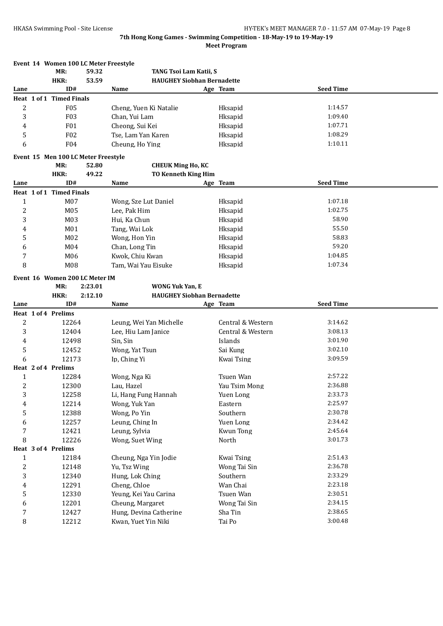|                  |     | Event 14 Women 100 LC Meter Freestyle |                     |                                   |                   |                  |  |
|------------------|-----|---------------------------------------|---------------------|-----------------------------------|-------------------|------------------|--|
|                  |     | MR:                                   | 59.32               | TANG Tsoi Lam Katii, S            |                   |                  |  |
|                  |     | HKR:                                  | 53.59               | <b>HAUGHEY Siobhan Bernadette</b> |                   |                  |  |
| Lane             |     | ID#                                   |                     | Name                              | Age Team          | <b>Seed Time</b> |  |
|                  |     | Heat 1 of 1 Timed Finals              |                     |                                   |                   |                  |  |
| $\boldsymbol{2}$ |     | F <sub>05</sub>                       |                     | Cheng, Yuen Ki Natalie            | Hksapid           | 1:14.57          |  |
| $\sqrt{3}$       |     | F03                                   |                     | Chan, Yui Lam                     | Hksapid           | 1:09.40          |  |
| $\overline{4}$   |     | F01                                   |                     | Cheong, Sui Kei                   | Hksapid           | 1:07.71          |  |
| 5                |     | F <sub>02</sub>                       |                     | Tse, Lam Yan Karen                | Hksapid           | 1:08.29          |  |
| 6                |     | F <sub>04</sub>                       |                     | Cheung, Ho Ying                   | Hksapid           | 1:10.11          |  |
|                  |     | Event 15 Men 100 LC Meter Freestyle   |                     |                                   |                   |                  |  |
|                  |     | MR:                                   | 52.80               | <b>CHEUK Ming Ho, KC</b>          |                   |                  |  |
|                  |     | HKR:                                  | 49.22               | <b>TO Kenneth King Him</b>        |                   |                  |  |
| Lane             |     | ID#                                   |                     | Name                              | Age Team          | <b>Seed Time</b> |  |
|                  |     | Heat 1 of 1 Timed Finals              |                     |                                   |                   |                  |  |
| $\mathbf{1}$     |     | M07                                   |                     | Wong, Sze Lut Daniel              | Hksapid           | 1:07.18          |  |
| $\overline{c}$   |     | M05                                   |                     | Lee, Pak Him                      | Hksapid           | 1:02.75          |  |
| 3                |     | M03                                   |                     | Hui, Ka Chun                      | Hksapid           | 58.90            |  |
| 4                |     | M01                                   |                     | Tang, Wai Lok                     | Hksapid           | 55.50            |  |
| 5                |     | M <sub>02</sub>                       |                     | Wong, Hon Yin                     | Hksapid           | 58.83            |  |
| 6                |     | M <sub>04</sub>                       |                     | Chan, Long Tin                    | Hksapid           | 59.20            |  |
| 7                |     | M06                                   |                     | Kwok, Chiu Kwan                   | Hksapid           | 1:04.85          |  |
| 8                | M08 |                                       | Tam, Wai Yau Eisuke | Hksapid                           | 1:07.34           |                  |  |
|                  |     | Event 16 Women 200 LC Meter IM        |                     |                                   |                   |                  |  |
|                  |     | MR:                                   | 2:23.01             | <b>WONG Yuk Yan, E</b>            |                   |                  |  |
|                  |     | HKR:                                  | 2:12.10             | <b>HAUGHEY Siobhan Bernadette</b> |                   |                  |  |
| Lane             |     | ID#                                   |                     | Name                              | Age Team          | <b>Seed Time</b> |  |
|                  |     | Heat 1 of 4 Prelims                   |                     |                                   |                   |                  |  |
| $\boldsymbol{2}$ |     | 12264                                 |                     | Leung, Wei Yan Michelle           | Central & Western | 3:14.62          |  |
| 3                |     | 12404                                 |                     | Lee, Hiu Lam Janice               | Central & Western | 3:08.13          |  |
| 4                |     | 12498                                 |                     | Sin, Sin                          | Islands           | 3:01.90          |  |
| 5                |     | 12452                                 |                     | Wong, Yat Tsun                    | Sai Kung          | 3:02.10          |  |
| 6                |     | 12173                                 |                     | Ip, Ching Yi                      | Kwai Tsing        | 3:09.59          |  |
|                  |     | Heat 2 of 4 Prelims                   |                     |                                   |                   |                  |  |
| 1                |     | 12284                                 |                     | Wong, Nga Ki                      | Tsuen Wan         | 2:57.22          |  |
| 2                |     | 12300                                 |                     | Lau, Hazel                        | Yau Tsim Mong     | 2:36.88          |  |
| 3                |     | 12258                                 |                     | Li, Hang Fung Hannah              | Yuen Long         | 2:33.73          |  |
| 4                |     | 12214                                 |                     | Wong, Yuk Yan                     | Eastern           | 2:25.97          |  |
| 5                |     | 12388                                 |                     | Wong, Po Yin                      | Southern          | 2:30.78          |  |
| 6                |     | 12257                                 |                     | Leung, Ching In                   | Yuen Long         | 2:34.42          |  |
| 7                |     | 12421                                 |                     | Leung, Sylvia                     | <b>Kwun Tong</b>  | 2:45.64          |  |
| 8                |     | 12226                                 |                     | Wong, Suet Wing                   | North             | 3:01.73          |  |
|                  |     | Heat 3 of 4 Prelims                   |                     |                                   |                   |                  |  |
| $\mathbf{1}$     |     | 12184                                 |                     | Cheung, Nga Yin Jodie             | <b>Kwai Tsing</b> | 2:51.43          |  |
| $\overline{c}$   |     | 12148                                 |                     | Yu, Tsz Wing                      | Wong Tai Sin      | 2:36.78          |  |
| 3                |     | 12340                                 |                     | Hung, Lok Ching                   | Southern          | 2:33.29          |  |
| 4                |     | 12291                                 |                     | Cheng, Chloe                      | Wan Chai          | 2:23.18          |  |
| 5                |     | 12330                                 |                     | Yeung, Kei Yau Carina             | Tsuen Wan         | 2:30.51          |  |
| 6                |     | 12201                                 |                     | Cheung, Margaret                  | Wong Tai Sin      | 2:34.15          |  |

 12427 Hung, Devina Catherine Sha Tin 2:38.65 8 12212 Kwan, Yuet Yin Niki Tai Po 3:00.48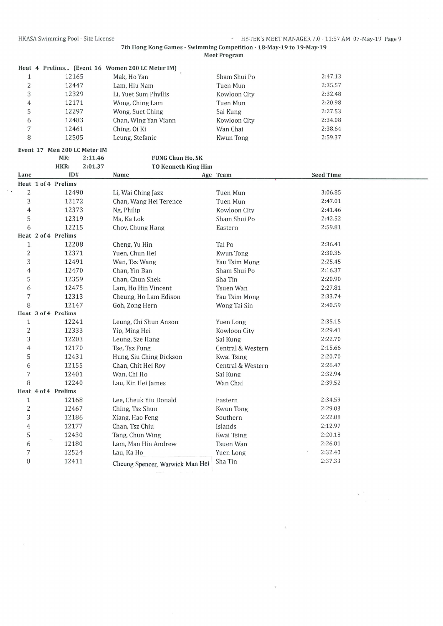$\sim$   $_{\star}$ 

 $\frac{\partial \mathbf{w}}{\partial t} = \frac{\partial \mathbf{w}}{\partial t}$ 

 $\mathcal{R}$ 

 $\epsilon$ 

# 7th Hong Kong Games - Swimming Competition - 18-May-19 to 19-May-19

|  |  | Meet Program |  |
|--|--|--------------|--|
|  |  |              |  |

|                |                              |         | Heat 4 Prelims (Event 16 Women 200 LC Meter IM) |                   |                  |  |
|----------------|------------------------------|---------|-------------------------------------------------|-------------------|------------------|--|
| $\mathbf{1}$   | 12165                        |         | Mak, Ho Yan                                     | Sham Shui Po      | 2:47.13          |  |
| $\overline{c}$ | 12447                        |         | Lam, Hiu Nam                                    | Tuen Mun          | 2:35.57          |  |
| 3              | 12329                        |         | Li, Yuet Sum Phyllis                            | Kowloon City      | 2:32.48          |  |
| $\overline{4}$ | 12171                        |         | Wong, Ching Lam                                 | Tuen Mun          | 2:20.98          |  |
| 5              | 12297                        |         | Wong, Suet Ching                                | Sai Kung          | 2:27.53          |  |
| 6              | 12483                        |         | Chan, Wing Yan Viann                            | Kowloon City      | 2:34.08          |  |
| $\overline{7}$ | 12461                        |         | Ching, Oi Ki                                    | Wan Chai          | 2:38.64          |  |
| 8              | 12505                        |         | Leung, Stefanie                                 | Kwun Tong         | 2:59.37          |  |
|                | Event 17 Men 200 LC Meter IM |         |                                                 |                   |                  |  |
|                | MR:                          | 2:11.46 | FUNG Chun Ho, SK                                |                   |                  |  |
|                | HKR:                         | 2:01.37 | <b>TO Kenneth King Him</b>                      |                   |                  |  |
| Lane           | ID#                          |         | Name                                            | Age Team          | <b>Seed Time</b> |  |
|                | Heat 1 of 4 Prelims          |         |                                                 |                   |                  |  |
| $\overline{c}$ | 12490                        |         | Li, Wai Ching Jazz                              | Tuen Mun          | 3:06.85          |  |
| 3              | 12172                        |         | Chan, Wang Hei Terence                          | Tuen Mun          | 2:47.01          |  |
| $\overline{4}$ | 12373                        |         | Ng, Philip                                      | Kowloon City      | 2:41.46          |  |
| 5              | 12319                        |         | Ma, Ka Lok                                      | Sham Shui Po      | 2:42.52          |  |
| 6              | 12215                        |         | Choy, Chung Hang                                | Eastern           | 2:59.81          |  |
|                | Heat 2 of 4 Prelims          |         |                                                 |                   |                  |  |
| $\mathbf{1}$   | 12208                        |         | Cheng, Yu Hin                                   | Tai Po            | 2:36.41          |  |
| $\overline{c}$ | 12371                        |         | Yuen, Chun Hei                                  | Kwun Tong         | 2:30.35          |  |
| 3              | 12491                        |         | Wan, Tsz Wang                                   | Yau Tsim Mong     | 2:25.45          |  |
| 4              | 12470                        |         | Chan, Yin Ban                                   | Sham Shui Po      | 2:16.37          |  |
| 5              | 12359                        |         | Chan, Chun Shek                                 | Sha Tin           | 2:20.90          |  |
| 6              | 12475                        |         | Lam, Ho Hin Vincent                             | Tsuen Wan         | 2:27.81          |  |
| 7              | 12313                        |         | Cheung, Ho Lam Edison                           | Yau Tsim Mong     | 2:33.74          |  |
| 8              | 12147                        |         | Goh, Zong Hern                                  | Wong Tai Sin      | 2:40.59          |  |
|                | Heat 3 of 4 Prelims          |         |                                                 |                   |                  |  |
| $\mathbf{1}$   | 12241                        |         | Leung, Chi Shun Anson                           | Yuen Long         | 2:35.15          |  |
| $\overline{c}$ | 12333                        |         | Yip, Ming Hei                                   | Kowloon City      | 2:29.41          |  |
| 3              | 12203                        |         | Leung, Sze Hang                                 | Sai Kung          | 2:22.70          |  |
| $\overline{4}$ | 12170                        |         | Tse, Tsz Fung                                   | Central & Western | 2:15.66          |  |
| 5              | 12431                        |         | Hung, Siu Ching Dickson                         | Kwai Tsing        | 2:20.70          |  |
| 6              | 12155                        |         | Chan, Chit Hei Roy                              | Central & Western | 2:26.47          |  |
| 7              | 12401                        |         | Wan, Chi Ho                                     | Sai Kung          | 2:32.94          |  |
| 8              | 12240                        |         | Lau, Kin Hei James                              | Wan Chai          | 2:39.52          |  |
|                | Heat 4 of 4 Prelims          |         |                                                 |                   |                  |  |
| $1\,$          | 12168                        |         | Lee, Cheuk Yiu Donald                           | Eastern           | 2:34.59          |  |
| $\overline{c}$ | 12467                        |         | Ching, Tsz Shun                                 | Kwun Tong         | 2:29.03          |  |
| 3              | 12186                        |         | Xiang, Hao Feng                                 | Southern          | 2:22.08          |  |
| $\overline{4}$ | 12177                        |         | Chan, Tsz Chiu                                  | Islands           | 2:12.97          |  |
| 5              | 12430                        |         | Tang, Chun Wing                                 | Kwai Tsing        | 2:20.18          |  |
| 6              | 12180                        |         | Lam, Man Hin Andrew                             | Tsuen Wan         | 2:26.01          |  |
| 7              | 12524                        |         | Lau, Ka Ho                                      | Yuen Long         | 2:32.40          |  |
| 8              | 12411                        |         | Cheung Spencer, Warwick Man Hei                 | Sha Tin           | 2:37.33          |  |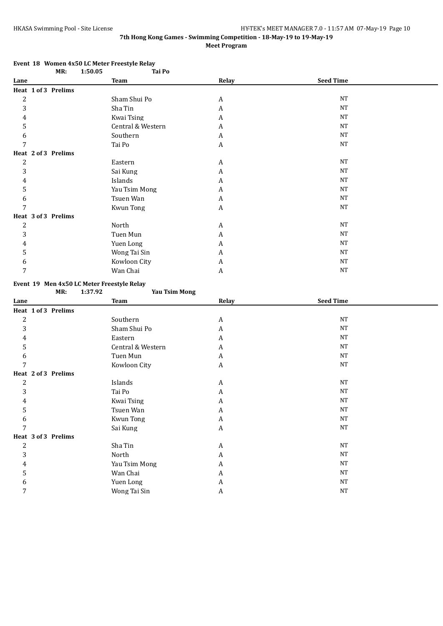#### **Event 18 Women 4x50 LC Meter Freestyle Relay**

|                | MR:                 | 1:50.05 | Tai Po            |       |                  |  |
|----------------|---------------------|---------|-------------------|-------|------------------|--|
| Lane           |                     |         | <b>Team</b>       | Relay | <b>Seed Time</b> |  |
|                | Heat 1 of 3 Prelims |         |                   |       |                  |  |
| $\overline{c}$ |                     |         | Sham Shui Po      | A     | <b>NT</b>        |  |
| 3              |                     |         | Sha Tin           | A     | <b>NT</b>        |  |
| 4              |                     |         | Kwai Tsing        | A     | <b>NT</b>        |  |
| 5              |                     |         | Central & Western | A     | <b>NT</b>        |  |
| 6              |                     |         | Southern          | A     | NT               |  |
| 7              |                     |         | Tai Po            | A     | $_{\rm NT}$      |  |
|                | Heat 2 of 3 Prelims |         |                   |       |                  |  |
| $\overline{c}$ |                     |         | Eastern           | A     | <b>NT</b>        |  |
| 3              |                     |         | Sai Kung          | A     | <b>NT</b>        |  |
| 4              |                     |         | Islands           | A     | NT               |  |
| 5              |                     |         | Yau Tsim Mong     | A     | <b>NT</b>        |  |
| 6              |                     |         | Tsuen Wan         | A     | <b>NT</b>        |  |
| 7              |                     |         | Kwun Tong         | A     | <b>NT</b>        |  |
|                | Heat 3 of 3 Prelims |         |                   |       |                  |  |
| $\overline{c}$ |                     |         | North             | A     | <b>NT</b>        |  |
| 3              |                     |         | Tuen Mun          | A     | <b>NT</b>        |  |
| 4              |                     |         | Yuen Long         | A     | <b>NT</b>        |  |
| 5              |                     |         | Wong Tai Sin      | A     | <b>NT</b>        |  |
| 6              |                     |         | Kowloon City      | A     | NT               |  |
| 7              |                     |         | Wan Chai          | A     | <b>NT</b>        |  |

# **Event 19 Men 4x50 LC Meter Freestyle Relay**

|      | MR:                 | 1:37.92 | <b>Yau Tsim Mong</b> |       |                  |  |
|------|---------------------|---------|----------------------|-------|------------------|--|
| Lane |                     |         | <b>Team</b>          | Relay | <b>Seed Time</b> |  |
|      | Heat 1 of 3 Prelims |         |                      |       |                  |  |
| 2    |                     |         | Southern             | A     | <b>NT</b>        |  |
| 3    |                     |         | Sham Shui Po         | A     | NT               |  |
| 4    |                     |         | Eastern              | A     | <b>NT</b>        |  |
| 5    |                     |         | Central & Western    | A     | <b>NT</b>        |  |
| 6    |                     |         | Tuen Mun             | A     | <b>NT</b>        |  |
| 7    |                     |         | Kowloon City         | A     | NT               |  |
|      | Heat 2 of 3 Prelims |         |                      |       |                  |  |
| 2    |                     |         | Islands              | A     | NT               |  |
| 3    |                     |         | Tai Po               | A     | <b>NT</b>        |  |
| 4    |                     |         | Kwai Tsing           | A     | <b>NT</b>        |  |
| 5    |                     |         | Tsuen Wan            | A     | <b>NT</b>        |  |
| 6    |                     |         | Kwun Tong            | A     | <b>NT</b>        |  |
|      |                     |         | Sai Kung             | A     | <b>NT</b>        |  |
|      | Heat 3 of 3 Prelims |         |                      |       |                  |  |
| 2    |                     |         | Sha Tin              | A     | <b>NT</b>        |  |
| 3    |                     |         | North                | A     | <b>NT</b>        |  |
| 4    |                     |         | Yau Tsim Mong        | A     | <b>NT</b>        |  |
| 5    |                     |         | Wan Chai             | A     | <b>NT</b>        |  |
| 6    |                     |         | Yuen Long            | A     | <b>NT</b>        |  |
|      |                     |         | Wong Tai Sin         | A     | <b>NT</b>        |  |
|      |                     |         |                      |       |                  |  |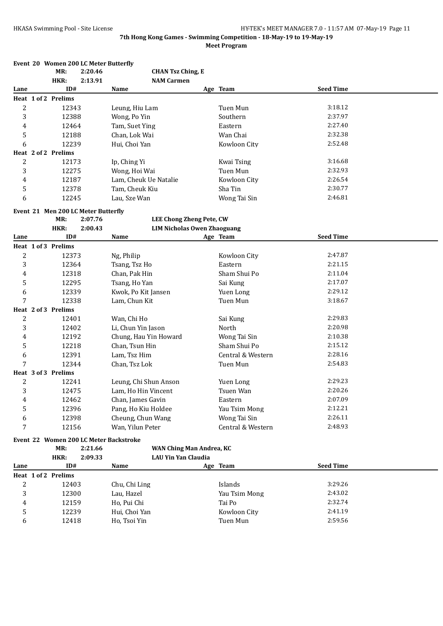|                         |       |                     | Event 20 Women 200 LC Meter Butterfly |                                        |                                    |                          |                  |  |
|-------------------------|-------|---------------------|---------------------------------------|----------------------------------------|------------------------------------|--------------------------|------------------|--|
|                         |       | MR:                 | 2:20.46                               | <b>CHAN Tsz Ching, E</b>               |                                    |                          |                  |  |
|                         |       | HKR:                | 2:13.91                               | <b>NAM Carmen</b>                      |                                    |                          |                  |  |
| Lane                    |       | ID#                 |                                       | Name                                   |                                    | Age Team                 | <b>Seed Time</b> |  |
|                         |       | Heat 1 of 2 Prelims |                                       |                                        |                                    |                          |                  |  |
| $\boldsymbol{2}$        |       | 12343               |                                       | Leung, Hiu Lam                         |                                    | Tuen Mun                 | 3:18.12          |  |
| 3                       |       | 12388               |                                       | Wong, Po Yin                           |                                    | Southern                 | 2:37.97          |  |
| $\overline{\mathbf{4}}$ |       | 12464               |                                       | Tam, Suet Ying                         |                                    | Eastern                  | 2:27.40          |  |
| 5                       |       | 12188               |                                       | Chan, Lok Wai                          |                                    | Wan Chai                 | 2:32.38          |  |
| 6                       |       | 12239               |                                       | Hui, Choi Yan                          |                                    | Kowloon City             | 2:52.48          |  |
|                         |       | Heat 2 of 2 Prelims |                                       |                                        |                                    |                          |                  |  |
| 2                       |       | 12173               |                                       | Ip, Ching Yi                           |                                    | <b>Kwai Tsing</b>        | 3:16.68          |  |
| 3                       |       | 12275               |                                       | Wong, Hoi Wai                          |                                    | Tuen Mun                 | 2:32.93          |  |
| $\overline{\mathbf{4}}$ |       | 12187               |                                       | Lam, Cheuk Ue Natalie                  |                                    | Kowloon City             | 2:26.54          |  |
| 5                       |       | 12378               |                                       | Tam, Cheuk Kiu                         |                                    | Sha Tin                  | 2:30.77          |  |
| 6                       |       | 12245               |                                       | Lau, Sze Wan                           |                                    | Wong Tai Sin             | 2:46.81          |  |
|                         |       |                     | Event 21 Men 200 LC Meter Butterfly   |                                        |                                    |                          |                  |  |
|                         |       | MR:                 | 2:07.76                               |                                        | <b>LEE Chong Zheng Pete, CW</b>    |                          |                  |  |
|                         |       | HKR:                | 2:00.43                               |                                        | <b>LIM Nicholas Owen Zhaoguang</b> |                          |                  |  |
| Lane                    |       | ID#                 |                                       | Name                                   |                                    | Age Team                 | <b>Seed Time</b> |  |
|                         |       | Heat 1 of 3 Prelims |                                       |                                        |                                    |                          |                  |  |
| 2                       |       | 12373               |                                       | Ng, Philip                             |                                    | Kowloon City             | 2:47.87          |  |
| 3                       |       | 12364               |                                       | Tsang, Tsz Ho                          |                                    | Eastern                  | 2:21.15          |  |
| 4                       |       | 12318               |                                       | Chan, Pak Hin                          |                                    | Sham Shui Po             | 2:11.04          |  |
| 5                       | 12295 |                     |                                       | Tsang, Ho Yan                          |                                    | Sai Kung                 | 2:17.07          |  |
| 6                       |       | 12339               |                                       | Kwok, Po Kit Jansen                    |                                    | Yuen Long                | 2:29.12          |  |
| 7                       |       | 12338               |                                       | Lam, Chun Kit                          |                                    | Tuen Mun                 | 3:18.67          |  |
|                         |       | Heat 2 of 3 Prelims |                                       |                                        |                                    |                          |                  |  |
| 2                       |       | 12401               |                                       | Wan, Chi Ho                            |                                    | Sai Kung                 | 2:29.83          |  |
| 3                       |       | 12402               |                                       | Li, Chun Yin Jason                     |                                    | North                    | 2:20.98          |  |
| 4                       |       | 12192               |                                       | Chung, Hau Yin Howard                  |                                    | Wong Tai Sin             | 2:10.38          |  |
| 5                       |       | 12218               |                                       | Chan, Tsun Hin                         |                                    | Sham Shui Po             | 2:15.12          |  |
| 6                       |       | 12391               |                                       | Lam, Tsz Him                           |                                    | Central & Western        | 2:28.16          |  |
| 7                       |       | 12344               |                                       | Chan, Tsz Lok                          |                                    | Tuen Mun                 | 2:54.83          |  |
|                         |       | Heat 3 of 3 Prelims |                                       |                                        |                                    |                          |                  |  |
| 2                       |       | 12241               |                                       | Leung, Chi Shun Anson                  |                                    | Yuen Long                | 2:29.23          |  |
| 3                       |       | 12475               |                                       | Lam, Ho Hin Vincent                    |                                    | Tsuen Wan                | 2:20.26          |  |
| 4                       |       | 12462               |                                       | Chan, James Gavin                      |                                    | Eastern                  | 2:07.09          |  |
| 5                       |       | 12396               |                                       | Pang, Ho Kiu Holdee                    |                                    | Yau Tsim Mong            | 2:12.21          |  |
| 6                       |       | 12398               |                                       | Cheung, Chun Wang                      |                                    | Wong Tai Sin             | 2:26.11          |  |
| 7                       |       | 12156               |                                       | Wan, Yilun Peter                       |                                    | Central & Western        | 2:48.93          |  |
|                         |       |                     |                                       |                                        |                                    |                          |                  |  |
|                         |       |                     |                                       | Event 22 Women 200 LC Meter Backstroke |                                    |                          |                  |  |
|                         |       | MR:                 | 2:21.66                               |                                        | WAN Ching Man Andrea, KC           |                          |                  |  |
| Lane                    |       | HKR:<br>ID#         | 2:09.33                               | <b>LAU Yin Yan Claudia</b><br>Name     |                                    | Age Team                 | <b>Seed Time</b> |  |
|                         |       |                     |                                       |                                        |                                    |                          |                  |  |
|                         |       | Heat 1 of 2 Prelims |                                       |                                        |                                    |                          | 3:29.26          |  |
| 2<br>3                  |       | 12403<br>12300      |                                       | Chu, Chi Ling                          |                                    | Islands                  | 2:43.02          |  |
|                         |       | 12159               |                                       | Lau, Hazel<br>Ho, Pui Chi              |                                    | Yau Tsim Mong<br>Tai Po  | 2:32.74          |  |
| 4                       |       |                     |                                       |                                        |                                    |                          | 2:41.19          |  |
| 5<br>6                  |       | 12239<br>12418      |                                       | Hui, Choi Yan<br>Ho, Tsoi Yin          |                                    | Kowloon City<br>Tuen Mun | 2:59.56          |  |
|                         |       |                     |                                       |                                        |                                    |                          |                  |  |

6 12418 Ho, Tsoi Yin Tuen Mun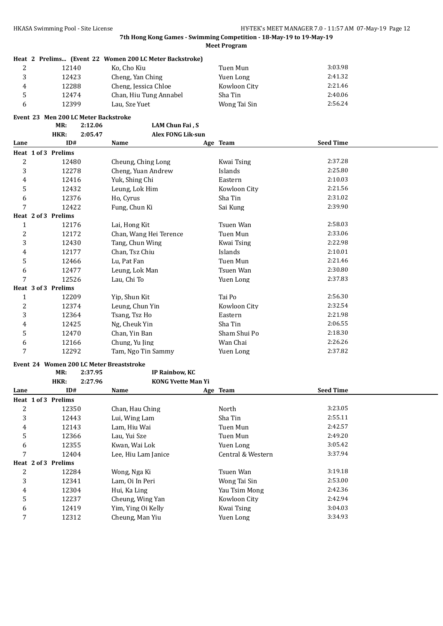|   |       | Heat 2 Prelims (Event 22 Women 200 LC Meter Backstroke) |              |         |
|---|-------|---------------------------------------------------------|--------------|---------|
| 2 | 12140 | Ko, Cho Kiu                                             | Tuen Mun     | 3:03.98 |
| 3 | 12423 | Cheng, Yan Ching                                        | Yuen Long    | 2:41.32 |
| 4 | 12288 | Cheng, Jessica Chloe                                    | Kowloon City | 2:21.46 |
| 5 | 12474 | Chan, Hiu Tung Annabel                                  | Sha Tin      | 2:40.06 |
| 6 | 12399 | Lau. Sze Yuet                                           | Wong Tai Sin | 2:56.24 |

**Event 23 Men 200 LC Meter Backstroke**<br>MR: 2:12.06

|                | MR:                 | 2:12.06 | LAM Chun Fai, S          |              |                  |  |  |
|----------------|---------------------|---------|--------------------------|--------------|------------------|--|--|
|                | HKR:                | 2:05.47 | <b>Alex FONG Lik-sun</b> |              |                  |  |  |
| Lane           | ID#                 | Name    |                          | Age Team     | <b>Seed Time</b> |  |  |
|                | Heat 1 of 3 Prelims |         |                          |              |                  |  |  |
| $\overline{c}$ | 12480               |         | Cheung, Ching Long       | Kwai Tsing   | 2:37.28          |  |  |
| 3              | 12278               |         | Cheng, Yuan Andrew       | Islands      | 2:25.80          |  |  |
| 4              | 12416               |         | Yuk, Shing Chi           | Eastern      | 2:10.03          |  |  |
| 5              | 12432               |         | Leung, Lok Him           | Kowloon City | 2:21.56          |  |  |
| 6              | 12376               |         | Ho, Cyrus                | Sha Tin      | 2:31.02          |  |  |
| 7              | 12422               |         | Fung, Chun Ki            | Sai Kung     | 2:39.90          |  |  |
|                | Heat 2 of 3 Prelims |         |                          |              |                  |  |  |
| 1              | 12176               |         | Lai, Hong Kit            | Tsuen Wan    | 2:58.03          |  |  |
| 2              | 12172               |         | Chan, Wang Hei Terence   | Tuen Mun     | 2:33.06          |  |  |
| 3              | 12430               |         | Tang, Chun Wing          | Kwai Tsing   | 2:22.98          |  |  |
| 4              | 12177               |         | Chan, Tsz Chiu           | Islands      | 2:10.01          |  |  |
| 5              | 12466               |         | Lu, Pat Fan              | Tuen Mun     | 2:21.46          |  |  |
| 6              | 12477               |         | Leung, Lok Man           | Tsuen Wan    | 2:30.80          |  |  |
| 7              | 12526               |         | Lau, Chi To              | Yuen Long    | 2:37.83          |  |  |
|                | Heat 3 of 3 Prelims |         |                          |              |                  |  |  |
| 1              | 12209               |         | Yip, Shun Kit            | Tai Po       | 2:56.30          |  |  |
| $\overline{c}$ | 12374               |         | Leung, Chun Yin          | Kowloon City | 2:32.54          |  |  |
| 3              | 12364               |         | Tsang, Tsz Ho            | Eastern      | 2:21.98          |  |  |
| 4              | 12425               |         | Ng, Cheuk Yin            | Sha Tin      | 2:06.55          |  |  |
| 5              | 12470               |         | Chan, Yin Ban            | Sham Shui Po | 2:18.30          |  |  |
| 6              | 12166               |         | Chung, Yu Jing           | Wan Chai     | 2:26.26          |  |  |
| 7              | 12292               |         | Tam, Ngo Tin Sammy       | Yuen Long    | 2:37.82          |  |  |

# **Event 24 Women 200 LC Meter Breaststroke**

**MR: 2:37.95 IP Rainbow, KC**

|      | HKR:                | 2:27.96 | <b>KONG Yvette Man Yi</b> |                   |                  |  |
|------|---------------------|---------|---------------------------|-------------------|------------------|--|
| Lane | ID#                 |         | Name                      | Age Team          | <b>Seed Time</b> |  |
|      | Heat 1 of 3 Prelims |         |                           |                   |                  |  |
| 2    | 12350               |         | Chan, Hau Ching           | North             | 3:23.05          |  |
| 3    | 12443               |         | Lui, Wing Lam             | Sha Tin           | 2:55.11          |  |
| 4    | 12143               |         | Lam, Hiu Wai              | Tuen Mun          | 2:42.57          |  |
| 5    | 12366               |         | Lau, Yui Sze              | Tuen Mun          | 2:49.20          |  |
| 6    | 12355               |         | Kwan, Wai Lok             | Yuen Long         | 3:05.42          |  |
| 7    | 12404               |         | Lee, Hiu Lam Janice       | Central & Western | 3:37.94          |  |
|      | Heat 2 of 3 Prelims |         |                           |                   |                  |  |
| 2    | 12284               |         | Wong, Nga Ki              | Tsuen Wan         | 3:19.18          |  |
| 3    | 12341               |         | Lam, Oi In Peri           | Wong Tai Sin      | 2:53.00          |  |
| 4    | 12304               |         | Hui, Ka Ling              | Yau Tsim Mong     | 2:42.36          |  |
| 5    | 12237               |         | Cheung, Wing Yan          | Kowloon City      | 2:42.94          |  |
| 6    | 12419               |         | Yim, Ying Oi Kelly        | Kwai Tsing        | 3:04.03          |  |
| 7    | 12312               |         | Cheung, Man Yiu           | Yuen Long         | 3:34.93          |  |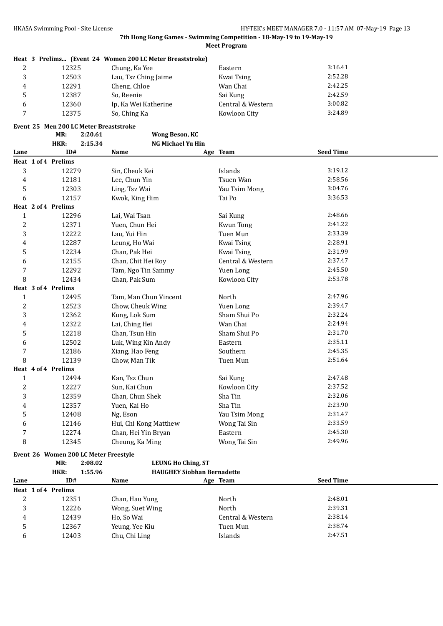|  |  | Heat 3 Prelims (Event 24 Women 200 LC Meter Breaststroke) |  |
|--|--|-----------------------------------------------------------|--|
|  |  |                                                           |  |

|   | 12325 | Chung, Ka Yee        | Eastern           | 3:16.41 |
|---|-------|----------------------|-------------------|---------|
|   | 12503 | Lau, Tsz Ching Jaime | Kwai Tsing        | 2:52.28 |
| 4 | 12291 | Cheng, Chloe         | Wan Chai          | 2:42.25 |
|   | 12387 | So, Reenie           | Sai Kung          | 2:42.59 |
| 6 | 12360 | Ip. Ka Wei Katherine | Central & Western | 3:00.82 |
|   | 12375 | So, Ching Ka         | Kowloon City      | 3:24.89 |

#### **Event 25 Men 200 LC Meter Breaststroke**

**MR: 2:20.61 Wong Beson, KC HKR: 2:15.34 NG Michael Yu Hin Lane ID# Name Age Team Seed Time Heat 1 of 4 Prelims** 3 12279 Sin, Cheuk Kei **Islands** 3:19.12 12181 Lee, Chun Yin Tsuen Wan 2:58.56 5 12303 Ling, Tsz Wai Yau Tsim Mong 3:04.76 12157 Kwok, King Him Tai Po 3:36.53 **Heat 2 of 4 Prelims** 12296 Lai, Wai Tsan Sai Kung 2:48.66 12371 Yuen, Chun Hei Kwun Tong 2:41.22 12222 Lau, Yui Hin Tuen Mun 2:33.39 12287 Leung, Ho Wai Kwai Tsing 2:28.91 12234 Chan, Pak Hei Kwai Tsing 2:31.99 12155 Chan, Chit Hei Roy Central & Western 2:37.47 7 12292 Tam, Ngo Tin Sammy Yuen Long Yuen Long 2:45.50 12434 Chan, Pak Sum Kowloon City 2:53.78 **Heat 3 of 4 Prelims** 12495 Tam, Man Chun Vincent North 2:47.96 2 12523 Chow, Cheuk Wing Yuen Long 2:39.47 12362 Kung, Lok Sum Sham Shui Po 2:32.24 12322 Lai, Ching Hei Wan Chai 2:24.94 5 12218 Chan, Tsun Hin Sham Shui Po 2:31.70 12502 Luk, Wing Kin Andy Eastern 2:35.11 12186 Xiang, Hao Feng Southern 2:45.35 12139 Chow, Man Tik Tuen Mun 2:51.64 **Heat 4 of 4 Prelims** 12494 Kan, Tsz Chun Sai Kung 2:47.48 12227 Sun, Kai Chun Kowloon City 2:37.52 12359 Chan, Chun Shek Sha Tin 2:32.06 12357 Yuen, Kai Ho Sha Tin 2:23.90 12408 Ng, Eson Yau Tsim Mong 2:31.47 12146 Hui, Chi Kong Matthew Wong Tai Sin 2:33.59 12274 Chan, Hei Yin Bryan Eastern 2:45.30 12345 Cheung, Ka Ming Wong Tai Sin 2:49.96

**Event 26 Women 200 LC Meter Freestyle**

**MR: 2:08.02 LEUNG Ho Ching, ST**

|      | HKR:<br>1:55.96     |                 | <b>HAUGHEY Siobhan Bernadette</b> |                  |
|------|---------------------|-----------------|-----------------------------------|------------------|
| Lane | ID#                 | <b>Name</b>     | Age Team                          | <b>Seed Time</b> |
|      | Heat 1 of 4 Prelims |                 |                                   |                  |
|      | 12351               | Chan, Hau Yung  | North                             | 2:48.01          |
|      | 12226               | Wong, Suet Wing | North                             | 2:39.31          |
| 4    | 12439               | Ho, So Wai      | Central & Western                 | 2:38.14          |
|      | 12367               | Yeung, Yee Kiu  | Tuen Mun                          | 2:38.74          |
| h    | 12403               | Chu, Chi Ling   | Islands                           | 2:47.51          |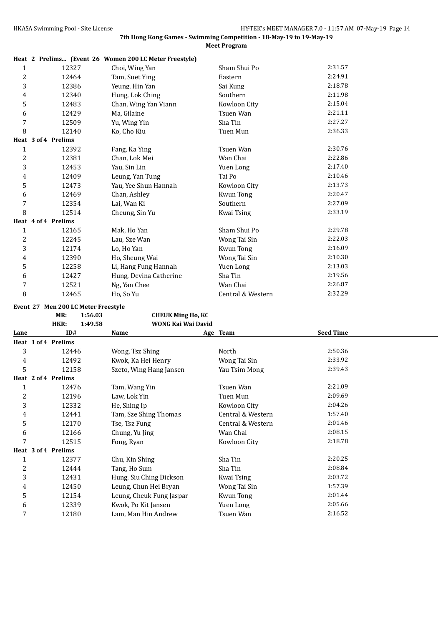|                |                     | Heat 2 Prelims (Event 26 Women 200 LC Meter Freestyle) |                   |         |
|----------------|---------------------|--------------------------------------------------------|-------------------|---------|
| 1              | 12327               | Choi, Wing Yan                                         | Sham Shui Po      | 2:31.57 |
| $\overline{c}$ | 12464               | Tam, Suet Ying                                         | Eastern           | 2:24.91 |
| 3              | 12386               | Yeung, Hin Yan                                         | Sai Kung          | 2:18.78 |
| 4              | 12340               | Hung, Lok Ching                                        | Southern          | 2:11.98 |
| 5              | 12483               | Chan, Wing Yan Viann                                   | Kowloon City      | 2:15.04 |
| 6              | 12429               | Ma, Gilaine                                            | Tsuen Wan         | 2:21.11 |
| 7              | 12509               | Yu, Wing Yin                                           | Sha Tin           | 2:27.27 |
| 8              | 12140               | Ko, Cho Kiu                                            | Tuen Mun          | 2:36.33 |
|                | Heat 3 of 4 Prelims |                                                        |                   |         |
| 1              | 12392               | Fang, Ka Ying                                          | Tsuen Wan         | 2:30.76 |
| 2              | 12381               | Chan, Lok Mei                                          | Wan Chai          | 2:22.86 |
| 3              | 12453               | Yau, Sin Lin                                           | Yuen Long         | 2:17.40 |
| 4              | 12409               | Leung, Yan Tung                                        | Tai Po            | 2:10.46 |
| 5              | 12473               | Yau, Yee Shun Hannah                                   | Kowloon City      | 2:13.73 |
| 6              | 12469               | Chan, Ashley                                           | Kwun Tong         | 2:20.47 |
| 7              | 12354               | Lai, Wan Ki                                            | Southern          | 2:27.09 |
| 8              | 12514               | Cheung, Sin Yu                                         | Kwai Tsing        | 2:33.19 |
|                | Heat 4 of 4 Prelims |                                                        |                   |         |
| $\mathbf{1}$   | 12165               | Mak, Ho Yan                                            | Sham Shui Po      | 2:29.78 |
| $\overline{c}$ | 12245               | Lau, Sze Wan                                           | Wong Tai Sin      | 2:22.03 |
| 3              | 12174               | Lo, Ho Yan                                             | Kwun Tong         | 2:16.09 |
| 4              | 12390               | Ho, Sheung Wai                                         | Wong Tai Sin      | 2:10.30 |
| 5              | 12258               | Li, Hang Fung Hannah                                   | Yuen Long         | 2:13.03 |
| 6              | 12427               | Hung, Devina Catherine                                 | Sha Tin           | 2:19.56 |
| 7              | 12521               | Ng, Yan Chee                                           | Wan Chai          | 2:26.87 |
| 8              | 12465               | Ho, So Yu                                              | Central & Western | 2:32.29 |

#### **Event 27 Men 200 LC Meter Freestyle**

**MR: 1:56.03 CHEUK Ming Ho, KC HKR: 1:49.58 WONG Kai Wai David**

|      | HNK:                | 1:49.58 | wung kal wai david       |                   |                  |  |
|------|---------------------|---------|--------------------------|-------------------|------------------|--|
| Lane | ID#                 |         | <b>Name</b>              | Age Team          | <b>Seed Time</b> |  |
|      | Heat 1 of 4 Prelims |         |                          |                   |                  |  |
| 3    | 12446               |         | Wong, Tsz Shing          | North             | 2:50.36          |  |
| 4    | 12492               |         | Kwok, Ka Hei Henry       | Wong Tai Sin      | 2:33.92          |  |
| 5    | 12158               |         | Szeto, Wing Hang Jansen  | Yau Tsim Mong     | 2:39.43          |  |
|      | Heat 2 of 4 Prelims |         |                          |                   |                  |  |
|      | 12476               |         | Tam, Wang Yin            | Tsuen Wan         | 2:21.09          |  |
| 2    | 12196               |         | Law, Lok Yin             | Tuen Mun          | 2:09.69          |  |
| 3    | 12332               |         | He, Shing Ip             | Kowloon City      | 2:04.26          |  |
| 4    | 12441               |         | Tam, Sze Shing Thomas    | Central & Western | 1:57.40          |  |
| 5    | 12170               |         | Tse, Tsz Fung            | Central & Western | 2:01.46          |  |
| 6    | 12166               |         | Chung, Yu Jing           | Wan Chai          | 2:08.15          |  |
|      | 12515               |         | Fong, Ryan               | Kowloon City      | 2:18.78          |  |
|      | Heat 3 of 4 Prelims |         |                          |                   |                  |  |
|      | 12377               |         | Chu, Kin Shing           | Sha Tin           | 2:20.25          |  |
| 2    | 12444               |         | Tang, Ho Sum             | Sha Tin           | 2:08.84          |  |
| 3    | 12431               |         | Hung, Siu Ching Dickson  | Kwai Tsing        | 2:03.72          |  |
| 4    | 12450               |         | Leung, Chun Hei Bryan    | Wong Tai Sin      | 1:57.39          |  |
| 5    | 12154               |         | Leung, Cheuk Fung Jaspar | Kwun Tong         | 2:01.44          |  |
| 6    | 12339               |         | Kwok, Po Kit Jansen      | Yuen Long         | 2:05.66          |  |
|      | 12180               |         | Lam, Man Hin Andrew      | Tsuen Wan         | 2:16.52          |  |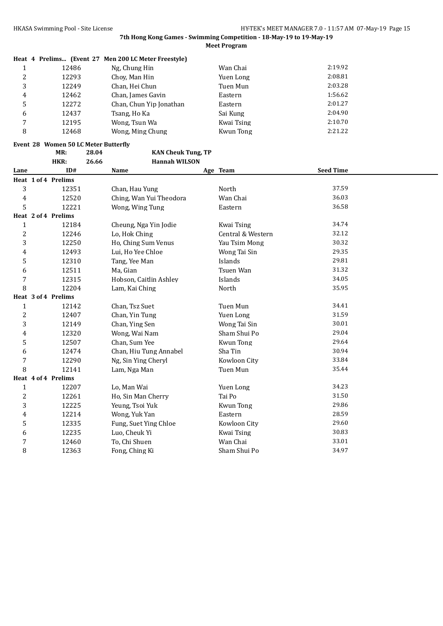|   |       | Heat 4 Prelims (Event 27 Men 200 LC Meter Freestyle) |            |         |
|---|-------|------------------------------------------------------|------------|---------|
|   | 12486 | Ng, Chung Hin                                        | Wan Chai   | 2:19.92 |
| 2 | 12293 | Choy, Man Hin                                        | Yuen Long  | 2:08.81 |
| 3 | 12249 | Chan, Hei Chun                                       | Tuen Mun   | 2:03.28 |
| 4 | 12462 | Chan, James Gavin                                    | Eastern    | 1:56.62 |
| 5 | 12272 | Chan, Chun Yip Jonathan                              | Eastern    | 2:01.27 |
| 6 | 12437 | Tsang, Ho Ka                                         | Sai Kung   | 2:04.90 |
| 7 | 12195 | Wong, Tsun Wa                                        | Kwai Tsing | 2:10.70 |
| 8 | 12468 | Wong, Ming Chung                                     | Kwun Tong  | 2:21.22 |

**Event 28 Women 50 LC Meter Butterfly<br>MR:** 28.04

**MR: 28.04 KAN Cheuk Tung, TP**

|                | HKR:                | 26.66 | <b>Hannah WILSON</b>    |                   |                  |  |
|----------------|---------------------|-------|-------------------------|-------------------|------------------|--|
| Lane           | ID#                 |       | Name                    | Age Team          | <b>Seed Time</b> |  |
|                | Heat 1 of 4 Prelims |       |                         |                   |                  |  |
| 3              | 12351               |       | Chan, Hau Yung          | North             | 37.59            |  |
| 4              | 12520               |       | Ching, Wan Yui Theodora | Wan Chai          | 36.03            |  |
| 5              | 12221               |       | Wong, Wing Tung         | Eastern           | 36.58            |  |
|                | Heat 2 of 4 Prelims |       |                         |                   |                  |  |
| $\mathbf{1}$   | 12184               |       | Cheung, Nga Yin Jodie   | Kwai Tsing        | 34.74            |  |
| $\overline{c}$ | 12246               |       | Lo, Hok Ching           | Central & Western | 32.12            |  |
| 3              | 12250               |       | Ho, Ching Sum Venus     | Yau Tsim Mong     | 30.32            |  |
| 4              | 12493               |       | Lui, Ho Yee Chloe       | Wong Tai Sin      | 29.35            |  |
| 5              | 12310               |       | Tang, Yee Man           | Islands           | 29.81            |  |
| 6              | 12511               |       | Ma, Gian                | Tsuen Wan         | 31.32            |  |
| 7              | 12315               |       | Hobson, Caitlin Ashley  | Islands           | 34.05            |  |
| 8              | 12204               |       | Lam, Kai Ching          | North             | 35.95            |  |
|                | Heat 3 of 4 Prelims |       |                         |                   |                  |  |
| 1              | 12142               |       | Chan, Tsz Suet          | Tuen Mun          | 34.41            |  |
| $\overline{c}$ | 12407               |       | Chan, Yin Tung          | Yuen Long         | 31.59            |  |
| 3              | 12149               |       | Chan, Ying Sen          | Wong Tai Sin      | 30.01            |  |
| 4              | 12320               |       | Wong, Wai Nam           | Sham Shui Po      | 29.04            |  |
| 5              | 12507               |       | Chan, Sum Yee           | <b>Kwun Tong</b>  | 29.64            |  |
| 6              | 12474               |       | Chan, Hiu Tung Annabel  | Sha Tin           | 30.94            |  |
| 7              | 12290               |       | Ng, Sin Ying Cheryl     | Kowloon City      | 33.84            |  |
| 8              | 12141               |       | Lam, Nga Man            | Tuen Mun          | 35.44            |  |
|                | Heat 4 of 4 Prelims |       |                         |                   |                  |  |
| $\mathbf{1}$   | 12207               |       | Lo, Man Wai             | Yuen Long         | 34.23            |  |
| $\overline{2}$ | 12261               |       | Ho, Sin Man Cherry      | Tai Po            | 31.50            |  |
| 3              | 12225               |       | Yeung, Tsoi Yuk         | <b>Kwun Tong</b>  | 29.86            |  |
| 4              | 12214               |       | Wong, Yuk Yan           | Eastern           | 28.59            |  |
| 5              | 12335               |       | Fung, Suet Ying Chloe   | Kowloon City      | 29.60            |  |
| 6              | 12235               |       | Luo, Cheuk Yi           | Kwai Tsing        | 30.83            |  |
| 7              | 12460               |       | To, Chi Shuen           | Wan Chai          | 33.01            |  |
| 8              | 12363               |       | Fong, Ching Ki          | Sham Shui Po      | 34.97            |  |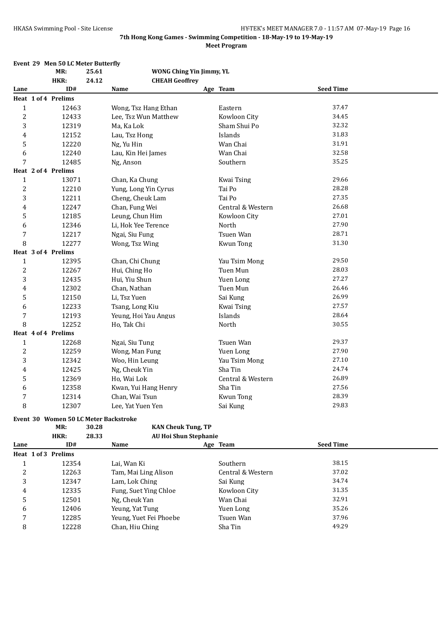|                  | Event 29 Men 50 LC Meter Butterfly    |       |                               |                   |                  |  |
|------------------|---------------------------------------|-------|-------------------------------|-------------------|------------------|--|
|                  | MR:                                   | 25.61 | WONG Ching Yin Jimmy, YL      |                   |                  |  |
| Lane             | HKR:<br>ID#                           | 24.12 | <b>CHEAH Geoffrey</b><br>Name | Age Team          | <b>Seed Time</b> |  |
|                  | Heat 1 of 4 Prelims                   |       |                               |                   |                  |  |
| $\mathbf 1$      | 12463                                 |       | Wong, Tsz Hang Ethan          | Eastern           | 37.47            |  |
| $\overline{c}$   | 12433                                 |       | Lee, Tsz Wun Matthew          | Kowloon City      | 34.45            |  |
| 3                | 12319                                 |       | Ma, Ka Lok                    | Sham Shui Po      | 32.32            |  |
| $\overline{4}$   | 12152                                 |       | Lau, Tsz Hong                 | Islands           | 31.83            |  |
| 5                | 12220                                 |       | Ng, Yu Hin                    | Wan Chai          | 31.91            |  |
| 6                | 12240                                 |       | Lau, Kin Hei James            | Wan Chai          | 32.58            |  |
| 7                | 12485                                 |       | Ng, Anson                     | Southern          | 35.25            |  |
|                  | Heat 2 of 4 Prelims                   |       |                               |                   |                  |  |
| $\mathbf{1}$     | 13071                                 |       | Chan, Ka Chung                | Kwai Tsing        | 29.66            |  |
| $\overline{c}$   | 12210                                 |       | Yung, Long Yin Cyrus          | Tai Po            | 28.28            |  |
| 3                | 12211                                 |       | Cheng, Cheuk Lam              | Tai Po            | 27.35            |  |
| $\overline{4}$   | 12247                                 |       | Chan, Fung Wei                | Central & Western | 26.68            |  |
| 5                | 12185                                 |       | Leung, Chun Him               | Kowloon City      | 27.01            |  |
| 6                | 12346                                 |       | Li, Hok Yee Terence           | North             | 27.90            |  |
| 7                | 12217                                 |       | Ngai, Siu Fung                | <b>Tsuen Wan</b>  | 28.71            |  |
| 8                | 12277                                 |       | Wong, Tsz Wing                | Kwun Tong         | 31.30            |  |
|                  | Heat 3 of 4 Prelims                   |       |                               |                   |                  |  |
| $\mathbf{1}$     | 12395                                 |       | Chan, Chi Chung               | Yau Tsim Mong     | 29.50            |  |
| $\overline{2}$   | 12267                                 |       | Hui, Ching Ho                 | Tuen Mun          | 28.03            |  |
| 3                | 12435                                 |       | Hui, Yiu Shun                 | Yuen Long         | 27.27            |  |
| $\overline{4}$   | 12302                                 |       | Chan, Nathan                  | Tuen Mun          | 26.46            |  |
| 5                | 12150                                 |       | Li, Tsz Yuen                  | Sai Kung          | 26.99            |  |
| 6                | 12233                                 |       | Tsang, Long Kiu               | Kwai Tsing        | 27.57            |  |
| $\overline{7}$   | 12193                                 |       | Yeung, Hoi Yau Angus          | Islands           | 28.64            |  |
| 8                | 12252                                 |       | Ho, Tak Chi                   | North             | 30.55            |  |
|                  | Heat 4 of 4 Prelims                   |       |                               |                   |                  |  |
| $\mathbf{1}$     | 12268                                 |       | Ngai, Siu Tung                | Tsuen Wan         | 29.37            |  |
| $\boldsymbol{2}$ | 12259                                 |       | Wong, Man Fung                | Yuen Long         | 27.90            |  |
| 3                | 12342                                 |       | Woo, Hin Leung                | Yau Tsim Mong     | 27.10            |  |
| $\overline{4}$   | 12425                                 |       | Ng, Cheuk Yin                 | Sha Tin           | 24.74            |  |
| 5                | 12369                                 |       | Ho, Wai Lok                   | Central & Western | 26.89            |  |
| 6                | 12358                                 |       | Kwan, Yui Hang Henry          | Sha Tin           | 27.56            |  |
| 7                | 12314                                 |       | Chan, Wai Tsun                | <b>Kwun Tong</b>  | 28.39            |  |
| 8                | 12307                                 |       | Lee, Yat Yuen Yen             | Sai Kung          | 29.83            |  |
|                  | Event 30 Women 50 LC Meter Backstroke |       |                               |                   |                  |  |
|                  | MR:                                   | 30.28 | <b>KAN Cheuk Tung, TP</b>     |                   |                  |  |
|                  | HKR:                                  | 28.33 | <b>AU Hoi Shun Stephanie</b>  |                   |                  |  |

| Lane | ID#                 | Name                   | Age Team          | <b>Seed Time</b> |  |
|------|---------------------|------------------------|-------------------|------------------|--|
|      | Heat 1 of 3 Prelims |                        |                   |                  |  |
|      | 12354               | Lai. Wan Ki            | Southern          | 38.15            |  |
|      | 12263               | Tam, Mai Ling Alison   | Central & Western | 37.02            |  |
|      | 12347               | Lam, Lok Ching         | Sai Kung          | 34.74            |  |
| 4    | 12335               | Fung, Suet Ying Chloe  | Kowloon City      | 31.35            |  |
|      | 12501               | Ng, Cheuk Yan          | Wan Chai          | 32.91            |  |
| 6    | 12406               | Yeung, Yat Tung        | Yuen Long         | 35.26            |  |
|      | 12285               | Yeung, Yuet Fei Phoebe | Tsuen Wan         | 37.96            |  |
| 8    | 12228               | Chan, Hiu Ching        | Sha Tin           | 49.29            |  |
|      |                     |                        |                   |                  |  |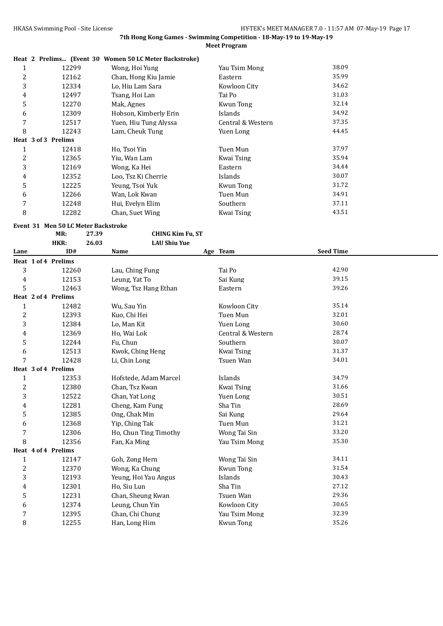|                |                     | Heat 2 Prelims (Event 30 Women 50 LC Meter Backstroke) |                   |       |
|----------------|---------------------|--------------------------------------------------------|-------------------|-------|
| 1              | 12299               | Wong, Hoi Yung                                         | Yau Tsim Mong     | 38.09 |
| 2              | 12162               | Chan, Hong Kiu Jamie                                   | Eastern           | 35.99 |
| 3              | 12334               | Lo, Hiu Lam Sara                                       | Kowloon City      | 34.62 |
| 4              | 12497               | Tsang, Hoi Lan                                         | Tai Po            | 31.03 |
| 5              | 12270               | Mak, Agnes                                             | Kwun Tong         | 32.14 |
| 6              | 12309               | Hobson, Kimberly Erin                                  | Islands           | 34.92 |
| 7              | 12517               | Yuen, Hiu Tung Alyssa                                  | Central & Western | 37.35 |
| 8              | 12243               | Lam, Cheuk Tung                                        | Yuen Long         | 44.45 |
|                | Heat 3 of 3 Prelims |                                                        |                   |       |
| 1              | 12418               | Ho, Tsoi Yin                                           | Tuen Mun          | 37.97 |
| 2              | 12365               | Yiu, Wan Lam                                           | Kwai Tsing        | 35.94 |
| 3              | 12169               | Wong, Ka Hei                                           | Eastern           | 34.44 |
| $\overline{4}$ | 12352               | Loo, Tsz Ki Cherrie                                    | <b>Islands</b>    | 30.07 |
| 5              | 12225               | Yeung, Tsoi Yuk                                        | Kwun Tong         | 31.72 |
| 6              | 12266               | Wan, Lok Kwan                                          | Tuen Mun          | 34.91 |
| 7              | 12248               | Hui, Evelyn Elim                                       | Southern          | 37.11 |
| 8              | 12282               | Chan, Suet Wing                                        | Kwai Tsing        | 43.51 |

# **Event 31 Men 50 LC Meter Backstroke**

**MR: 27.39 CHING Kim Fu, ST**

|                         | HKR:                | 26.03 | <b>LAU Shiu Yue</b>   |                   |                  |
|-------------------------|---------------------|-------|-----------------------|-------------------|------------------|
| Lane                    | ID#                 |       | Name                  | Age Team          | <b>Seed Time</b> |
|                         | Heat 1 of 4 Prelims |       |                       |                   |                  |
| 3                       | 12260               |       | Lau, Ching Fung       | Tai Po            | 42.90            |
| $\overline{\mathbf{4}}$ | 12153               |       | Leung, Yat To         | Sai Kung          | 39.15            |
| 5                       | 12463               |       | Wong, Tsz Hang Ethan  | Eastern           | 39.26            |
|                         | Heat 2 of 4 Prelims |       |                       |                   |                  |
| 1                       | 12482               |       | Wu, Sau Yin           | Kowloon City      | 35.14            |
| 2                       | 12393               |       | Kuo, Chi Hei          | Tuen Mun          | 32.01            |
| 3                       | 12384               |       | Lo, Man Kit           | Yuen Long         | 30.60            |
| 4                       | 12369               |       | Ho, Wai Lok           | Central & Western | 28.74            |
| 5                       | 12244               |       | Fu, Chun              | Southern          | 30.07            |
| 6                       | 12513               |       | Kwok, Ching Heng      | Kwai Tsing        | 31.37            |
| 7                       | 12428               |       | Li, Chin Long         | Tsuen Wan         | 34.01            |
|                         | Heat 3 of 4 Prelims |       |                       |                   |                  |
| $\mathbf{1}$            | 12353               |       | Hofstede, Adam Marcel | Islands           | 34.79            |
| 2                       | 12380               |       | Chan, Tsz Kwan        | Kwai Tsing        | 31.66            |
| 3                       | 12522               |       | Chan, Yat Long        | Yuen Long         | 30.51            |
| 4                       | 12281               |       | Cheng, Kam Fung       | Sha Tin           | 28.69            |
| 5                       | 12385               |       | Ong, Chak Min         | Sai Kung          | 29.64            |
| 6                       | 12368               |       | Yip, Ching Tak        | Tuen Mun          | 31.21            |
| 7                       | 12306               |       | Ho, Chun Ting Timothy | Wong Tai Sin      | 33.20            |
| 8                       | 12356               |       | Fan, Ka Ming          | Yau Tsim Mong     | 35.30            |
|                         | Heat 4 of 4 Prelims |       |                       |                   |                  |
| $\mathbf{1}$            | 12147               |       | Goh, Zong Hern        | Wong Tai Sin      | 34.11            |
| 2                       | 12370               |       | Wong, Ka Chung        | Kwun Tong         | 31.54            |
| 3                       | 12193               |       | Yeung, Hoi Yau Angus  | Islands           | 30.43            |
| 4                       | 12301               |       | Ho, Siu Lun           | Sha Tin           | 27.12            |
| 5                       | 12231               |       | Chan, Sheung Kwan     | Tsuen Wan         | 29.36            |
| 6                       | 12374               |       | Leung, Chun Yin       | Kowloon City      | 30.65            |
| 7                       | 12395               |       | Chan, Chi Chung       | Yau Tsim Mong     | 32.39            |
| 8                       | 12255               |       | Han, Long Him         | <b>Kwun Tong</b>  | 35.26            |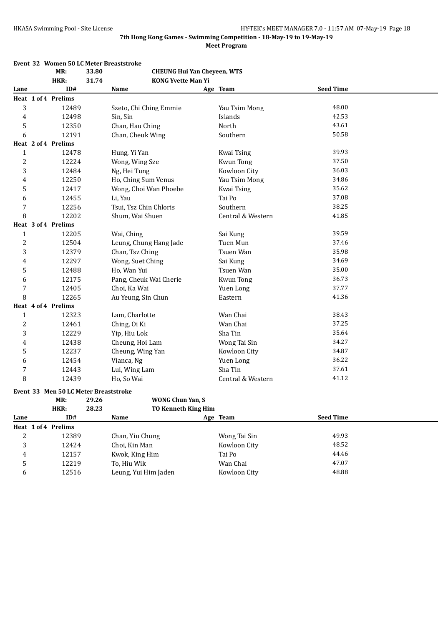**Event 32 Women 50 LC Meter Breaststroke**

#### **7th Hong Kong Games - Swimming Competition - 18-May-19 to 19-May-19 Meet Program**

|              | MR:                                   | 33.80 | <b>CHEUNG Hui Yan Cheyeen, WTS</b> |                   |                  |
|--------------|---------------------------------------|-------|------------------------------------|-------------------|------------------|
|              | HKR:                                  | 31.74 | <b>KONG Yvette Man Yi</b>          |                   |                  |
| Lane         | ID#                                   |       | Name                               | Age Team          | <b>Seed Time</b> |
|              | Heat 1 of 4 Prelims                   |       |                                    |                   |                  |
| 3            | 12489                                 |       | Szeto, Chi Ching Emmie             | Yau Tsim Mong     | 48.00            |
| 4            | 12498                                 |       | Sin, Sin                           | Islands           | 42.53            |
| 5            | 12350                                 |       | Chan, Hau Ching                    | North             | 43.61            |
| 6            | 12191                                 |       | Chan, Cheuk Wing                   | Southern          | 50.58            |
|              | Heat 2 of 4 Prelims                   |       |                                    |                   |                  |
| $\mathbf{1}$ | 12478                                 |       | Hung, Yi Yan                       | <b>Kwai Tsing</b> | 39.93            |
| 2            | 12224                                 |       | Wong, Wing Sze                     | <b>Kwun Tong</b>  | 37.50            |
| 3            | 12484                                 |       | Ng, Hei Tung                       | Kowloon City      | 36.03            |
| 4            | 12250                                 |       | Ho, Ching Sum Venus                | Yau Tsim Mong     | 34.86            |
| 5            | 12417                                 |       | Wong, Choi Wan Phoebe              | <b>Kwai Tsing</b> | 35.62            |
| 6            | 12455                                 |       | Li, Yau                            | Tai Po            | 37.08            |
| 7            | 12256                                 |       | Tsui, Tsz Chin Chloris             | Southern          | 38.25            |
| 8            | 12202                                 |       | Shum, Wai Shuen                    | Central & Western | 41.85            |
|              | Heat 3 of 4 Prelims                   |       |                                    |                   |                  |
| $\mathbf{1}$ | 12205                                 |       | Wai, Ching                         | Sai Kung          | 39.59            |
| 2            | 12504                                 |       | Leung, Chung Hang Jade             | Tuen Mun          | 37.46            |
| 3            | 12379                                 |       | Chan, Tsz Ching                    | Tsuen Wan         | 35.98            |
| 4            | 12297                                 |       | Wong, Suet Ching                   | Sai Kung          | 34.69            |
| 5            | 12488                                 |       | Ho, Wan Yui                        | Tsuen Wan         | 35.00            |
| 6            | 12175                                 |       | Pang, Cheuk Wai Cherie             | <b>Kwun Tong</b>  | 36.73            |
| 7            | 12405                                 |       | Choi, Ka Wai                       | Yuen Long         | 37.77            |
| 8            | 12265                                 |       | Au Yeung, Sin Chun                 | Eastern           | 41.36            |
|              | Heat 4 of 4 Prelims                   |       |                                    |                   |                  |
| $\mathbf{1}$ | 12323                                 |       | Lam, Charlotte                     | Wan Chai          | 38.43            |
| 2            | 12461                                 |       | Ching, Oi Ki                       | Wan Chai          | 37.25            |
| 3            | 12229                                 |       | Yip, Hiu Lok                       | Sha Tin           | 35.64            |
| 4            | 12438                                 |       | Cheung, Hoi Lam                    | Wong Tai Sin      | 34.27            |
| 5            | 12237                                 |       | Cheung, Wing Yan                   | Kowloon City      | 34.87            |
| 6            | 12454                                 |       | Vianca, Ng                         | Yuen Long         | 36.22            |
| 7            | 12443                                 |       | Lui, Wing Lam                      | Sha Tin           | 37.61            |
| 8            | 12439                                 |       | Ho, So Wai                         | Central & Western | 41.12            |
|              | Event 33 Men 50 LC Meter Breaststroke |       |                                    |                   |                  |
|              | MR:                                   | 29.26 | <b>WONG Chun Yan, S</b>            |                   |                  |
|              | HKR:                                  | 28.23 | <b>TO Kenneth King Him</b>         |                   |                  |
| Lane         | ID#                                   |       | Name                               | Age Team          | <b>Seed Time</b> |
|              | Heat 1 of 4 Prelims                   |       |                                    |                   |                  |
| 2            | 12389                                 |       | Chan, Yiu Chung                    | Wong Tai Sin      | 49.93            |
| 3            | 12424                                 |       | Choi, Kin Man                      | Kowloon City      | 48.52            |
| 4            | 12157                                 |       | Kwok, King Him                     | Tai Po            | 44.46            |
| 5            | 12219                                 |       | To, Hiu Wik                        | Wan Chai          | 47.07            |
| 6            | 12516                                 |       | Leung, Yui Him Jaden               | Kowloon City      | 48.88            |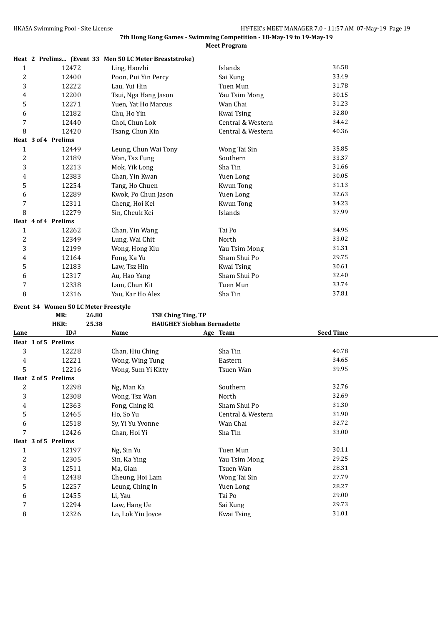|              |                     | Heat 2 Prelims (Event 33 Men 50 LC Meter Breaststroke) |                   |       |
|--------------|---------------------|--------------------------------------------------------|-------------------|-------|
| $\mathbf{1}$ | 12472               | Ling, Haozhi                                           | Islands           | 36.58 |
| $\sqrt{2}$   | 12400               | Poon, Pui Yin Percy                                    | Sai Kung          | 33.49 |
| 3            | 12222               | Lau, Yui Hin                                           | Tuen Mun          | 31.78 |
| 4            | 12200               | Tsui, Nga Hang Jason                                   | Yau Tsim Mong     | 30.15 |
| 5            | 12271               | Yuen, Yat Ho Marcus                                    | Wan Chai          | 31.23 |
| 6            | 12182               | Chu, Ho Yin                                            | Kwai Tsing        | 32.80 |
| 7            | 12440               | Choi, Chun Lok                                         | Central & Western | 34.42 |
| 8            | 12420               | Tsang, Chun Kin                                        | Central & Western | 40.36 |
|              | Heat 3 of 4 Prelims |                                                        |                   |       |
| $\mathbf{1}$ | 12449               | Leung, Chun Wai Tony                                   | Wong Tai Sin      | 35.85 |
| 2            | 12189               | Wan, Tsz Fung                                          | Southern          | 33.37 |
| 3            | 12213               | Mok, Yik Long                                          | Sha Tin           | 31.66 |
| 4            | 12383               | Chan, Yin Kwan                                         | Yuen Long         | 30.05 |
| 5            | 12254               | Tang, Ho Chuen                                         | Kwun Tong         | 31.13 |
| 6            | 12289               | Kwok, Po Chun Jason                                    | Yuen Long         | 32.63 |
| 7            | 12311               | Cheng, Hoi Kei                                         | Kwun Tong         | 34.23 |
| 8            | 12279               | Sin, Cheuk Kei                                         | Islands           | 37.99 |
|              | Heat 4 of 4 Prelims |                                                        |                   |       |
| $\mathbf{1}$ | 12262               | Chan, Yin Wang                                         | Tai Po            | 34.95 |
| 2            | 12349               | Lung, Wai Chit                                         | North             | 33.02 |
| 3            | 12199               | Wong, Hong Kiu                                         | Yau Tsim Mong     | 31.31 |
| 4            | 12164               | Fong, Ka Yu                                            | Sham Shui Po      | 29.75 |
| 5            | 12183               | Law, Tsz Hin                                           | Kwai Tsing        | 30.61 |
| 6            | 12317               | Au, Hao Yang                                           | Sham Shui Po      | 32.40 |
| 7            | 12338               | Lam, Chun Kit                                          | Tuen Mun          | 33.74 |
| 8            | 12316               | Yau, Kar Ho Alex                                       | Sha Tin           | 37.81 |

# **Event 34 Women 50 LC Meter Freestyle**<br>MR: 26.80

|      | MR:                 | 26.80 | <b>TSE Ching Ting, TP</b>         |                   |                  |  |
|------|---------------------|-------|-----------------------------------|-------------------|------------------|--|
|      | HKR:                | 25.38 | <b>HAUGHEY Siobhan Bernadette</b> |                   |                  |  |
| Lane | ID#                 |       | Name                              | Age Team          | <b>Seed Time</b> |  |
|      | Heat 1 of 5 Prelims |       |                                   |                   |                  |  |
| 3    | 12228               |       | Chan, Hiu Ching                   | Sha Tin           | 40.78            |  |
| 4    | 12221               |       | Wong, Wing Tung                   | Eastern           | 34.65            |  |
| 5    | 12216               |       | Wong, Sum Yi Kitty                | Tsuen Wan         | 39.95            |  |
|      | Heat 2 of 5 Prelims |       |                                   |                   |                  |  |
| 2    | 12298               |       | Ng, Man Ka                        | Southern          | 32.76            |  |
| 3    | 12308               |       | Wong, Tsz Wan                     | North             | 32.69            |  |
| 4    | 12363               |       | Fong, Ching Ki                    | Sham Shui Po      | 31.30            |  |
| 5    | 12465               |       | Ho, So Yu                         | Central & Western | 31.90            |  |
| 6    | 12518               |       | Sy, Yi Yu Yvonne                  | Wan Chai          | 32.72            |  |
| 7    | 12426               |       | Chan, Hoi Yi                      | Sha Tin           | 33.00            |  |
|      | Heat 3 of 5 Prelims |       |                                   |                   |                  |  |
| 1    | 12197               |       | Ng, Sin Yu                        | Tuen Mun          | 30.11            |  |
| 2    | 12305               |       | Sin, Ka Ying                      | Yau Tsim Mong     | 29.25            |  |
| 3    | 12511               |       | Ma, Gian                          | Tsuen Wan         | 28.31            |  |
| 4    | 12438               |       | Cheung, Hoi Lam                   | Wong Tai Sin      | 27.79            |  |
| 5    | 12257               |       | Leung, Ching In                   | Yuen Long         | 28.27            |  |
| 6    | 12455               |       | Li, Yau                           | Tai Po            | 29.00            |  |
| 7    | 12294               |       | Law, Hang Ue                      | Sai Kung          | 29.73            |  |
| 8    | 12326               |       | Lo, Lok Yiu Joyce                 | Kwai Tsing        | 31.01            |  |
|      |                     |       |                                   |                   |                  |  |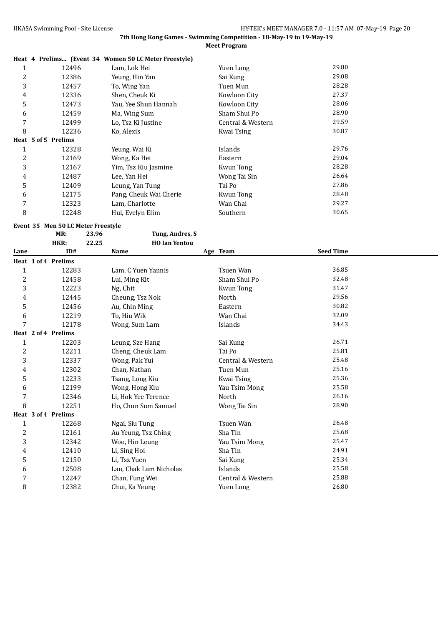|   |                     | Heat 4 Prelims (Event 34 Women 50 LC Meter Freestyle) |                   |       |
|---|---------------------|-------------------------------------------------------|-------------------|-------|
| 1 | 12496               | Lam, Lok Hei                                          | Yuen Long         | 29.80 |
| 2 | 12386               | Yeung, Hin Yan                                        | Sai Kung          | 29.08 |
| 3 | 12457               | To, Wing Yan                                          | Tuen Mun          | 28.28 |
| 4 | 12336               | Shen, Cheuk Ki                                        | Kowloon City      | 27.37 |
| 5 | 12473               | Yau, Yee Shun Hannah                                  | Kowloon City      | 28.06 |
| 6 | 12459               | Ma, Wing Sum                                          | Sham Shui Po      | 28.90 |
| 7 | 12499               | Lo, Tsz Ki Justine                                    | Central & Western | 29.59 |
| 8 | 12236               | Ko, Alexis                                            | Kwai Tsing        | 30.87 |
|   | Heat 5 of 5 Prelims |                                                       |                   |       |
| 1 | 12328               | Yeung, Wai Ki                                         | Islands           | 29.76 |
| 2 | 12169               | Wong, Ka Hei                                          | Eastern           | 29.04 |
| 3 | 12167               | Yim, Tsz Kiu Jasmine                                  | Kwun Tong         | 28.28 |
| 4 | 12487               | Lee, Yan Hei                                          | Wong Tai Sin      | 26.64 |
| 5 | 12409               | Leung, Yan Tung                                       | Tai Po            | 27.86 |
| 6 | 12175               | Pang, Cheuk Wai Cherie                                | Kwun Tong         | 28.48 |
| 7 | 12323               | Lam, Charlotte                                        | Wan Chai          | 29.27 |
| 8 | 12248               | Hui, Evelyn Elim                                      | Southern          | 30.65 |

# **Event 35 Men 50 LC Meter Freestyle**

|                         | MR:                 | 23.96 | Tung, Andres, S        |                   |                  |  |
|-------------------------|---------------------|-------|------------------------|-------------------|------------------|--|
|                         | HKR:                | 22.25 | <b>HO Ian Yentou</b>   |                   |                  |  |
| Lane                    | ID#                 |       | Name                   | Age Team          | <b>Seed Time</b> |  |
|                         | Heat 1 of 4 Prelims |       |                        |                   |                  |  |
| 1                       | 12283               |       | Lam, C Yuen Yannis     | Tsuen Wan         | 36.85            |  |
| $\overline{c}$          | 12458               |       | Lui, Ming Kit          | Sham Shui Po      | 32.48            |  |
| 3                       | 12223               |       | Ng, Chit               | <b>Kwun Tong</b>  | 31.47            |  |
| 4                       | 12445               |       | Cheung, Tsz Nok        | North             | 29.56            |  |
| 5                       | 12456               |       | Au, Chin Ming          | Eastern           | 30.82            |  |
| 6                       | 12219               |       | To, Hiu Wik            | Wan Chai          | 32.09            |  |
| 7                       | 12178               |       | Wong, Sum Lam          | Islands           | 34.43            |  |
|                         | Heat 2 of 4 Prelims |       |                        |                   |                  |  |
| 1                       | 12203               |       | Leung, Sze Hang        | Sai Kung          | 26.71            |  |
| 2                       | 12211               |       | Cheng, Cheuk Lam       | Tai Po            | 25.81            |  |
| 3                       | 12337               |       | Wong, Pak Yui          | Central & Western | 25.48            |  |
| 4                       | 12302               |       | Chan, Nathan           | Tuen Mun          | 25.16            |  |
| 5                       | 12233               |       | Tsang, Long Kiu        | Kwai Tsing        | 25.36            |  |
| 6                       | 12199               |       | Wong, Hong Kiu         | Yau Tsim Mong     | 25.58            |  |
| 7                       | 12346               |       | Li, Hok Yee Terence    | North             | 26.16            |  |
| 8                       | 12251               |       | Ho, Chun Sum Samuel    | Wong Tai Sin      | 28.90            |  |
|                         | Heat 3 of 4 Prelims |       |                        |                   |                  |  |
| 1                       | 12268               |       | Ngai, Siu Tung         | <b>Tsuen Wan</b>  | 26.48            |  |
| $\overline{\mathbf{c}}$ | 12161               |       | Au Yeung, Tsz Ching    | Sha Tin           | 25.68            |  |
| 3                       | 12342               |       | Woo, Hin Leung         | Yau Tsim Mong     | 25.47            |  |
| 4                       | 12410               |       | Li, Sing Hoi           | Sha Tin           | 24.91            |  |
| 5                       | 12150               |       | Li, Tsz Yuen           | Sai Kung          | 25.34            |  |
| 6                       | 12508               |       | Lau, Chak Lam Nicholas | Islands           | 25.58            |  |
| 7                       | 12247               |       | Chan, Fung Wei         | Central & Western | 25.88            |  |
| 8                       | 12382               |       | Chui, Ka Yeung         | Yuen Long         | 26.80            |  |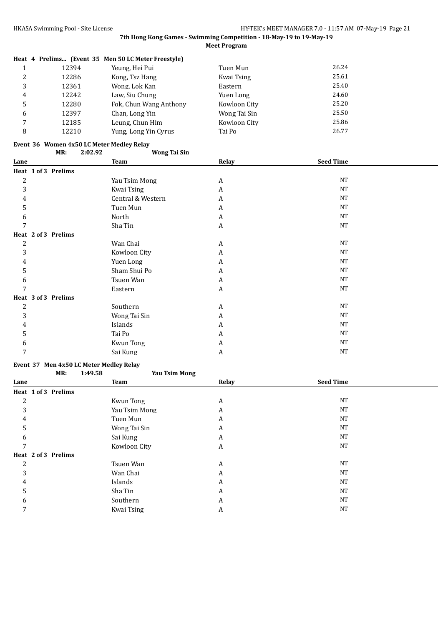|                |       | Heat 4 Prelims (Event 35 Men 50 LC Meter Freestyle) |              |       |
|----------------|-------|-----------------------------------------------------|--------------|-------|
|                | 12394 | Yeung, Hei Pui                                      | Tuen Mun     | 26.24 |
| 2              | 12286 | Kong, Tsz Hang                                      | Kwai Tsing   | 25.61 |
| 3              | 12361 | Wong, Lok Kan                                       | Eastern      | 25.40 |
| $\overline{4}$ | 12242 | Law, Siu Chung                                      | Yuen Long    | 24.60 |
| 5              | 12280 | Fok, Chun Wang Anthony                              | Kowloon City | 25.20 |
| 6              | 12397 | Chan. Long Yin                                      | Wong Tai Sin | 25.50 |
| 7              | 12185 | Leung, Chun Him                                     | Kowloon City | 25.86 |
| 8              | 12210 | Yung, Long Yin Cyrus                                | Tai Po       | 26.77 |
|                |       |                                                     |              |       |

# **Event 36 Women 4x50 LC Meter Medley Relay**

|              | MR:                 | 2:02.92 | <b>Wong Tai Sin</b> |                  |                  |
|--------------|---------------------|---------|---------------------|------------------|------------------|
| Lane         |                     |         | <b>Team</b>         | Relay            | <b>Seed Time</b> |
|              | Heat 1 of 3 Prelims |         |                     |                  |                  |
| 2            |                     |         | Yau Tsim Mong       | A                | <b>NT</b>        |
| 3            |                     |         | Kwai Tsing          | A                | NT               |
| 4            |                     |         | Central & Western   | A                | <b>NT</b>        |
| 5            |                     |         | Tuen Mun            | A                | <b>NT</b>        |
| 6            |                     |         | North               | A                | <b>NT</b>        |
|              |                     |         | Sha Tin             | A                | NT               |
|              | Heat 2 of 3 Prelims |         |                     |                  |                  |
| 2            |                     |         | Wan Chai            | A                | NT               |
| 3            |                     |         | Kowloon City        | A                | <b>NT</b>        |
| 4            |                     |         | Yuen Long           | A                | <b>NT</b>        |
| 5            |                     |         | Sham Shui Po        | A                | <b>NT</b>        |
| 6            |                     |         | Tsuen Wan           | A                | <b>NT</b>        |
| 7            |                     |         | Eastern             | $\boldsymbol{A}$ | <b>NT</b>        |
|              | Heat 3 of 3 Prelims |         |                     |                  |                  |
| 2            |                     |         | Southern            | A                | <b>NT</b>        |
| 3            |                     |         | Wong Tai Sin        | A                | <b>NT</b>        |
| 4            |                     |         | Islands             | A                | NT               |
| 5            |                     |         | Tai Po              | A                | <b>NT</b>        |
| <sub>6</sub> |                     |         | Kwun Tong           | A                | <b>NT</b>        |
|              |                     |         | Sai Kung            | A                | <b>NT</b>        |

# **Event 37 Men 4x50 LC Meter Medley Relay**

|                     | MR: | 1:49.58 | <b>Yau Tsim Mong</b> |       |                  |
|---------------------|-----|---------|----------------------|-------|------------------|
| Lane                |     |         | <b>Team</b>          | Relay | <b>Seed Time</b> |
| Heat 1 of 3 Prelims |     |         |                      |       |                  |
| 2                   |     |         | Kwun Tong            | A     | <b>NT</b>        |
| 3                   |     |         | Yau Tsim Mong        | A     | <b>NT</b>        |
| 4                   |     |         | Tuen Mun             | A     | <b>NT</b>        |
| 5                   |     |         | Wong Tai Sin         | A     | <b>NT</b>        |
| 6                   |     |         | Sai Kung             | A     | <b>NT</b>        |
| 7                   |     |         | Kowloon City         | A     | <b>NT</b>        |
| Heat 2 of 3 Prelims |     |         |                      |       |                  |
| 2                   |     |         | Tsuen Wan            | A     | <b>NT</b>        |
| 3                   |     |         | Wan Chai             | A     | <b>NT</b>        |
| 4                   |     |         | Islands              | A     | <b>NT</b>        |
| 5                   |     |         | Sha Tin              | A     | <b>NT</b>        |
| 6                   |     |         | Southern             | A     | <b>NT</b>        |
|                     |     |         | Kwai Tsing           | A     | <b>NT</b>        |